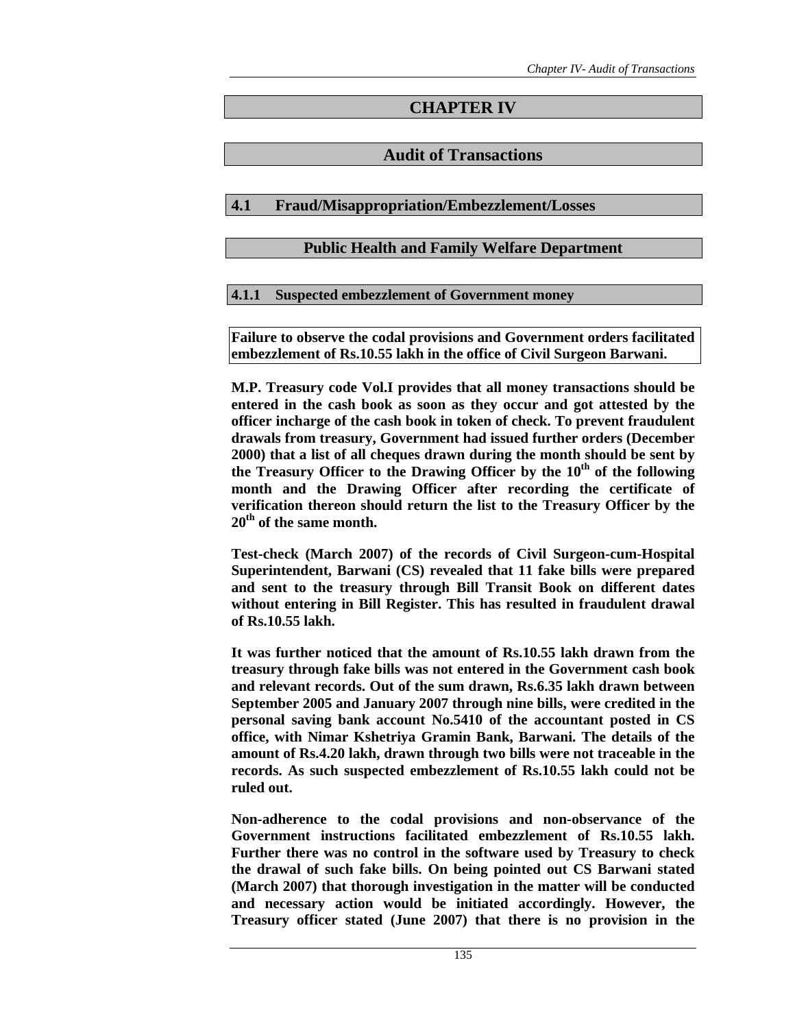# **CHAPTER IV**

# **Audit of Transactions**

# **4.1 Fraud/Misappropriation/Embezzlement/Losses**

# **Public Health and Family Welfare Department**

# **4.1.1 Suspected embezzlement of Government money**

**Failure to observe the codal provisions and Government orders facilitated embezzlement of Rs.10.55 lakh in the office of Civil Surgeon Barwani.** 

**M.P. Treasury code Vol.I provides that all money transactions should be entered in the cash book as soon as they occur and got attested by the officer incharge of the cash book in token of check. To prevent fraudulent drawals from treasury, Government had issued further orders (December 2000) that a list of all cheques drawn during the month should be sent by**  the Treasury Officer to the Drawing Officer by the  $10<sup>th</sup>$  of the following **month and the Drawing Officer after recording the certificate of verification thereon should return the list to the Treasury Officer by the 20th of the same month.** 

**Test-check (March 2007) of the records of Civil Surgeon-cum-Hospital Superintendent, Barwani (CS) revealed that 11 fake bills were prepared and sent to the treasury through Bill Transit Book on different dates without entering in Bill Register. This has resulted in fraudulent drawal of Rs.10.55 lakh.** 

**It was further noticed that the amount of Rs.10.55 lakh drawn from the treasury through fake bills was not entered in the Government cash book and relevant records. Out of the sum drawn, Rs.6.35 lakh drawn between September 2005 and January 2007 through nine bills, were credited in the personal saving bank account No.5410 of the accountant posted in CS office, with Nimar Kshetriya Gramin Bank, Barwani. The details of the amount of Rs.4.20 lakh, drawn through two bills were not traceable in the records. As such suspected embezzlement of Rs.10.55 lakh could not be ruled out.** 

**Non-adherence to the codal provisions and non-observance of the Government instructions facilitated embezzlement of Rs.10.55 lakh. Further there was no control in the software used by Treasury to check the drawal of such fake bills. On being pointed out CS Barwani stated (March 2007) that thorough investigation in the matter will be conducted and necessary action would be initiated accordingly. However, the Treasury officer stated (June 2007) that there is no provision in the**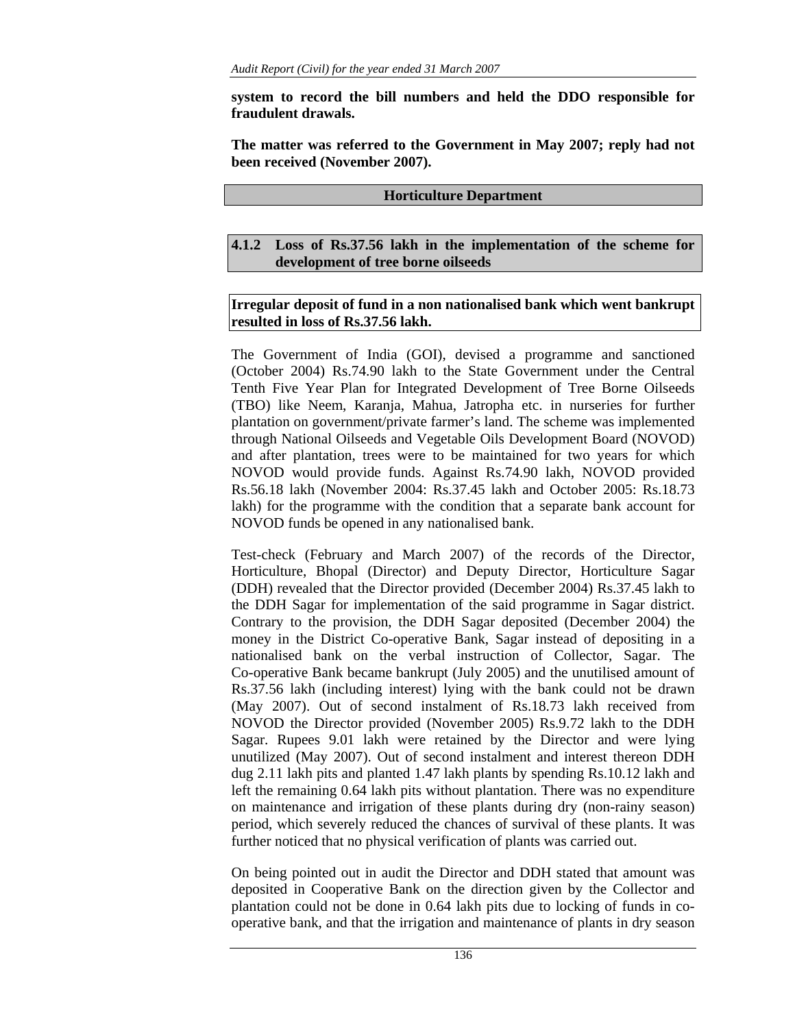**system to record the bill numbers and held the DDO responsible for fraudulent drawals.** 

**The matter was referred to the Government in May 2007; reply had not been received (November 2007).** 

#### **Horticulture Department**

**4.1.2 Loss of Rs.37.56 lakh in the implementation of the scheme for development of tree borne oilseeds** 

## **Irregular deposit of fund in a non nationalised bank which went bankrupt resulted in loss of Rs.37.56 lakh.**

The Government of India (GOI), devised a programme and sanctioned (October 2004) Rs.74.90 lakh to the State Government under the Central Tenth Five Year Plan for Integrated Development of Tree Borne Oilseeds (TBO) like Neem, Karanja, Mahua, Jatropha etc. in nurseries for further plantation on government/private farmer's land. The scheme was implemented through National Oilseeds and Vegetable Oils Development Board (NOVOD) and after plantation, trees were to be maintained for two years for which NOVOD would provide funds. Against Rs.74.90 lakh, NOVOD provided Rs.56.18 lakh (November 2004: Rs.37.45 lakh and October 2005: Rs.18.73 lakh) for the programme with the condition that a separate bank account for NOVOD funds be opened in any nationalised bank.

Test-check (February and March 2007) of the records of the Director, Horticulture, Bhopal (Director) and Deputy Director, Horticulture Sagar (DDH) revealed that the Director provided (December 2004) Rs.37.45 lakh to the DDH Sagar for implementation of the said programme in Sagar district. Contrary to the provision, the DDH Sagar deposited (December 2004) the money in the District Co-operative Bank, Sagar instead of depositing in a nationalised bank on the verbal instruction of Collector, Sagar. The Co-operative Bank became bankrupt (July 2005) and the unutilised amount of Rs.37.56 lakh (including interest) lying with the bank could not be drawn (May 2007). Out of second instalment of Rs.18.73 lakh received from NOVOD the Director provided (November 2005) Rs.9.72 lakh to the DDH Sagar. Rupees 9.01 lakh were retained by the Director and were lying unutilized (May 2007). Out of second instalment and interest thereon DDH dug 2.11 lakh pits and planted 1.47 lakh plants by spending Rs.10.12 lakh and left the remaining 0.64 lakh pits without plantation. There was no expenditure on maintenance and irrigation of these plants during dry (non-rainy season) period, which severely reduced the chances of survival of these plants. It was further noticed that no physical verification of plants was carried out.

On being pointed out in audit the Director and DDH stated that amount was deposited in Cooperative Bank on the direction given by the Collector and plantation could not be done in 0.64 lakh pits due to locking of funds in cooperative bank, and that the irrigation and maintenance of plants in dry season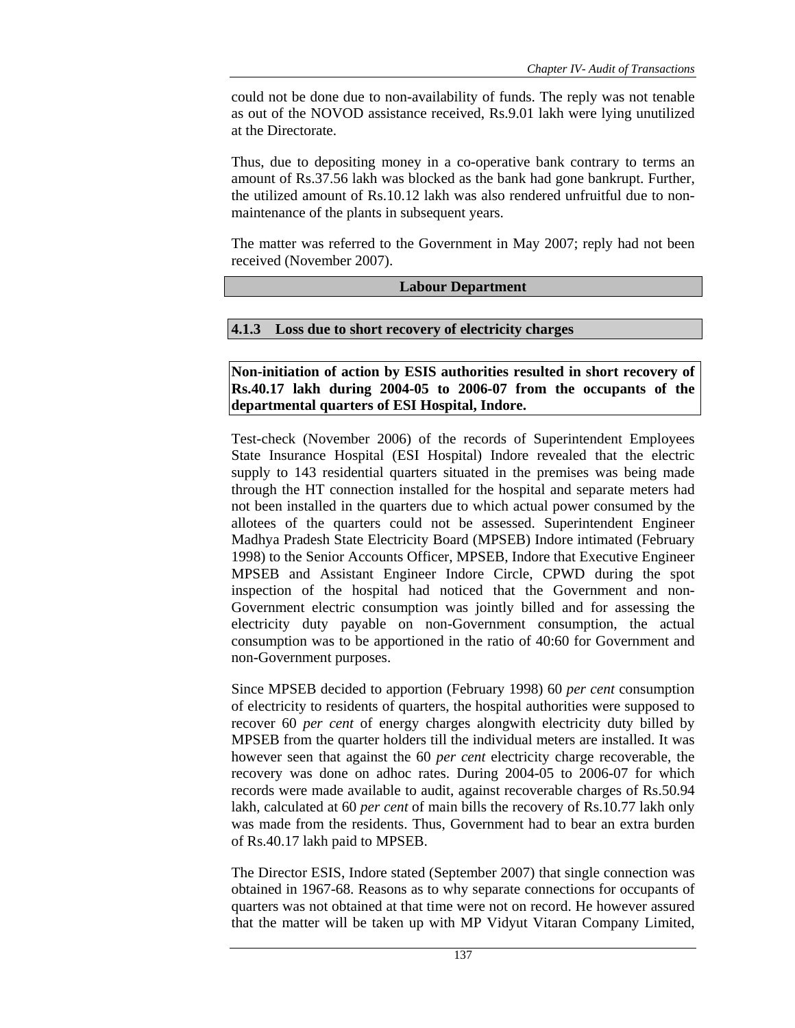could not be done due to non-availability of funds. The reply was not tenable as out of the NOVOD assistance received, Rs.9.01 lakh were lying unutilized at the Directorate.

Thus, due to depositing money in a co-operative bank contrary to terms an amount of Rs.37.56 lakh was blocked as the bank had gone bankrupt. Further, the utilized amount of Rs.10.12 lakh was also rendered unfruitful due to nonmaintenance of the plants in subsequent years.

The matter was referred to the Government in May 2007; reply had not been received (November 2007).

## **Labour Department**

# **4.1.3 Loss due to short recovery of electricity charges**

**Non-initiation of action by ESIS authorities resulted in short recovery of Rs.40.17 lakh during 2004-05 to 2006-07 from the occupants of the departmental quarters of ESI Hospital, Indore.** 

Test-check (November 2006) of the records of Superintendent Employees State Insurance Hospital (ESI Hospital) Indore revealed that the electric supply to 143 residential quarters situated in the premises was being made through the HT connection installed for the hospital and separate meters had not been installed in the quarters due to which actual power consumed by the allotees of the quarters could not be assessed. Superintendent Engineer Madhya Pradesh State Electricity Board (MPSEB) Indore intimated (February 1998) to the Senior Accounts Officer, MPSEB, Indore that Executive Engineer MPSEB and Assistant Engineer Indore Circle, CPWD during the spot inspection of the hospital had noticed that the Government and non-Government electric consumption was jointly billed and for assessing the electricity duty payable on non-Government consumption, the actual consumption was to be apportioned in the ratio of 40:60 for Government and non-Government purposes.

Since MPSEB decided to apportion (February 1998) 60 *per cent* consumption of electricity to residents of quarters, the hospital authorities were supposed to recover 60 *per cent* of energy charges alongwith electricity duty billed by MPSEB from the quarter holders till the individual meters are installed. It was however seen that against the 60 *per cent* electricity charge recoverable, the recovery was done on adhoc rates. During 2004-05 to 2006-07 for which records were made available to audit, against recoverable charges of Rs.50.94 lakh, calculated at 60 *per cent* of main bills the recovery of Rs.10.77 lakh only was made from the residents. Thus, Government had to bear an extra burden of Rs.40.17 lakh paid to MPSEB.

The Director ESIS, Indore stated (September 2007) that single connection was obtained in 1967-68. Reasons as to why separate connections for occupants of quarters was not obtained at that time were not on record. He however assured that the matter will be taken up with MP Vidyut Vitaran Company Limited,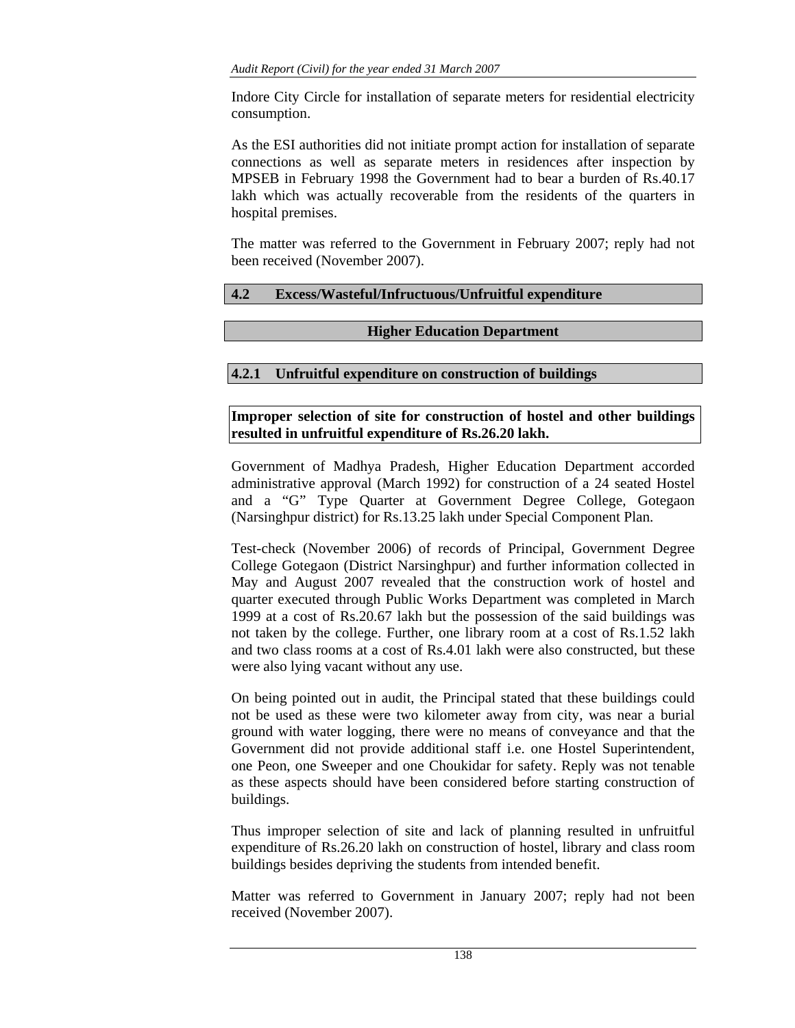Indore City Circle for installation of separate meters for residential electricity consumption.

As the ESI authorities did not initiate prompt action for installation of separate connections as well as separate meters in residences after inspection by MPSEB in February 1998 the Government had to bear a burden of Rs.40.17 lakh which was actually recoverable from the residents of the quarters in hospital premises.

The matter was referred to the Government in February 2007; reply had not been received (November 2007).

# **4.2 Excess/Wasteful/Infructuous/Unfruitful expenditure**

## **Higher Education Department**

# **4.2.1 Unfruitful expenditure on construction of buildings**

# **Improper selection of site for construction of hostel and other buildings resulted in unfruitful expenditure of Rs.26.20 lakh.**

Government of Madhya Pradesh, Higher Education Department accorded administrative approval (March 1992) for construction of a 24 seated Hostel and a "G" Type Quarter at Government Degree College, Gotegaon (Narsinghpur district) for Rs.13.25 lakh under Special Component Plan.

Test-check (November 2006) of records of Principal, Government Degree College Gotegaon (District Narsinghpur) and further information collected in May and August 2007 revealed that the construction work of hostel and quarter executed through Public Works Department was completed in March 1999 at a cost of Rs.20.67 lakh but the possession of the said buildings was not taken by the college. Further, one library room at a cost of Rs.1.52 lakh and two class rooms at a cost of Rs.4.01 lakh were also constructed, but these were also lying vacant without any use.

On being pointed out in audit, the Principal stated that these buildings could not be used as these were two kilometer away from city, was near a burial ground with water logging, there were no means of conveyance and that the Government did not provide additional staff i.e. one Hostel Superintendent, one Peon, one Sweeper and one Choukidar for safety. Reply was not tenable as these aspects should have been considered before starting construction of buildings.

Thus improper selection of site and lack of planning resulted in unfruitful expenditure of Rs.26.20 lakh on construction of hostel, library and class room buildings besides depriving the students from intended benefit.

Matter was referred to Government in January 2007; reply had not been received (November 2007).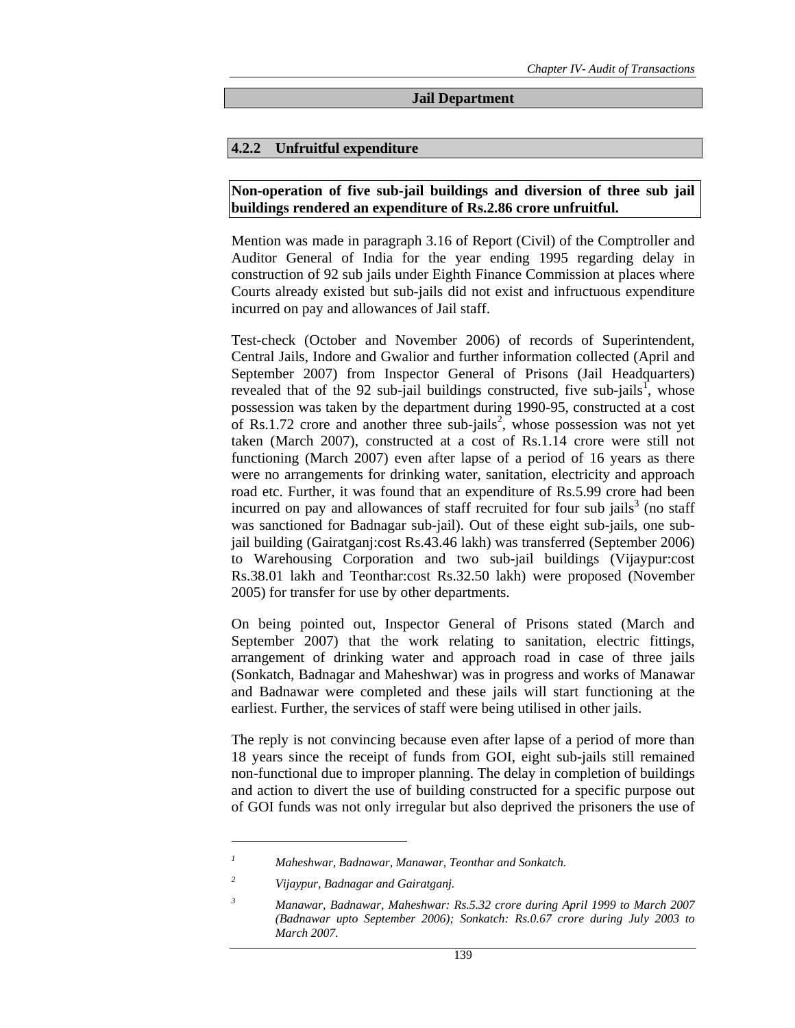#### **Jail Department**

#### **4.2.2 Unfruitful expenditure**

#### **Non-operation of five sub-jail buildings and diversion of three sub jail buildings rendered an expenditure of Rs.2.86 crore unfruitful.**

Mention was made in paragraph 3.16 of Report (Civil) of the Comptroller and Auditor General of India for the year ending 1995 regarding delay in construction of 92 sub jails under Eighth Finance Commission at places where Courts already existed but sub-jails did not exist and infructuous expenditure incurred on pay and allowances of Jail staff.

Test-check (October and November 2006) of records of Superintendent, Central Jails, Indore and Gwalior and further information collected (April and September 2007) from Inspector General of Prisons (Jail Headquarters) revealed that of the 92 sub-jail buildings constructed, five sub-jails<sup>1</sup>, whose possession was taken by the department during 1990-95, constructed at a cost of Rs.1.72 crore and another three sub-jails<sup>2</sup>, whose possession was not yet taken (March 2007), constructed at a cost of Rs.1.14 crore were still not functioning (March 2007) even after lapse of a period of 16 years as there were no arrangements for drinking water, sanitation, electricity and approach road etc. Further, it was found that an expenditure of Rs.5.99 crore had been incurred on pay and allowances of staff recruited for four sub jails<sup>3</sup> (no staff was sanctioned for Badnagar sub-jail). Out of these eight sub-jails, one subjail building (Gairatganj:cost Rs.43.46 lakh) was transferred (September 2006) to Warehousing Corporation and two sub-jail buildings (Vijaypur:cost Rs.38.01 lakh and Teonthar:cost Rs.32.50 lakh) were proposed (November 2005) for transfer for use by other departments.

On being pointed out, Inspector General of Prisons stated (March and September 2007) that the work relating to sanitation, electric fittings, arrangement of drinking water and approach road in case of three jails (Sonkatch, Badnagar and Maheshwar) was in progress and works of Manawar and Badnawar were completed and these jails will start functioning at the earliest. Further, the services of staff were being utilised in other jails.

The reply is not convincing because even after lapse of a period of more than 18 years since the receipt of funds from GOI, eight sub-jails still remained non-functional due to improper planning. The delay in completion of buildings and action to divert the use of building constructed for a specific purpose out of GOI funds was not only irregular but also deprived the prisoners the use of

*<sup>1</sup> Maheshwar, Badnawar, Manawar, Teonthar and Sonkatch.* 

*<sup>2</sup> Vijaypur, Badnagar and Gairatganj.* 

*<sup>3</sup> Manawar, Badnawar, Maheshwar: Rs.5.32 crore during April 1999 to March 2007 (Badnawar upto September 2006); Sonkatch: Rs.0.67 crore during July 2003 to March 2007.*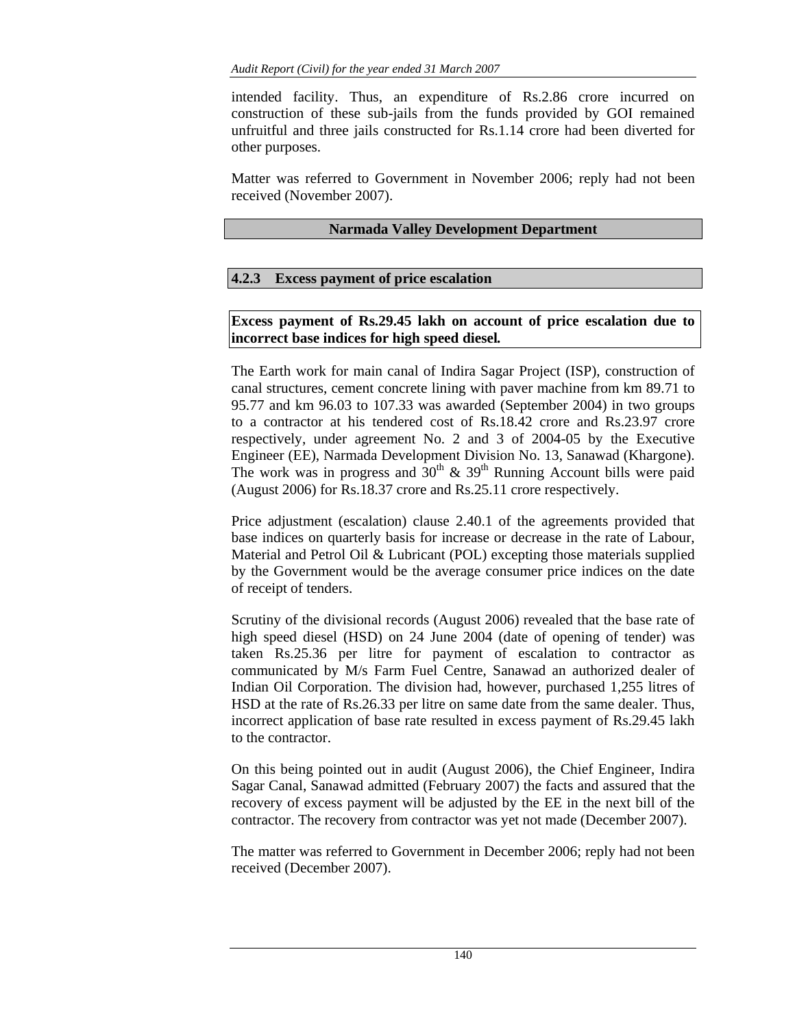intended facility. Thus, an expenditure of Rs.2.86 crore incurred on construction of these sub-jails from the funds provided by GOI remained unfruitful and three jails constructed for Rs.1.14 crore had been diverted for other purposes.

Matter was referred to Government in November 2006; reply had not been received (November 2007).

# **Narmada Valley Development Department**

# **4.2.3 Excess payment of price escalation**

# **Excess payment of Rs.29.45 lakh on account of price escalation due to incorrect base indices for high speed diesel***.*

The Earth work for main canal of Indira Sagar Project (ISP), construction of canal structures, cement concrete lining with paver machine from km 89.71 to 95.77 and km 96.03 to 107.33 was awarded (September 2004) in two groups to a contractor at his tendered cost of Rs.18.42 crore and Rs.23.97 crore respectively, under agreement No. 2 and 3 of 2004-05 by the Executive Engineer (EE), Narmada Development Division No. 13, Sanawad (Khargone). The work was in progress and  $30<sup>th</sup>$  &  $39<sup>th</sup>$  Running Account bills were paid (August 2006) for Rs.18.37 crore and Rs.25.11 crore respectively.

Price adjustment (escalation) clause 2.40.1 of the agreements provided that base indices on quarterly basis for increase or decrease in the rate of Labour, Material and Petrol Oil & Lubricant (POL) excepting those materials supplied by the Government would be the average consumer price indices on the date of receipt of tenders.

Scrutiny of the divisional records (August 2006) revealed that the base rate of high speed diesel (HSD) on 24 June 2004 (date of opening of tender) was taken Rs.25.36 per litre for payment of escalation to contractor as communicated by M/s Farm Fuel Centre, Sanawad an authorized dealer of Indian Oil Corporation. The division had, however, purchased 1,255 litres of HSD at the rate of Rs.26.33 per litre on same date from the same dealer. Thus, incorrect application of base rate resulted in excess payment of Rs.29.45 lakh to the contractor.

On this being pointed out in audit (August 2006), the Chief Engineer, Indira Sagar Canal, Sanawad admitted (February 2007) the facts and assured that the recovery of excess payment will be adjusted by the EE in the next bill of the contractor. The recovery from contractor was yet not made (December 2007).

The matter was referred to Government in December 2006; reply had not been received (December 2007).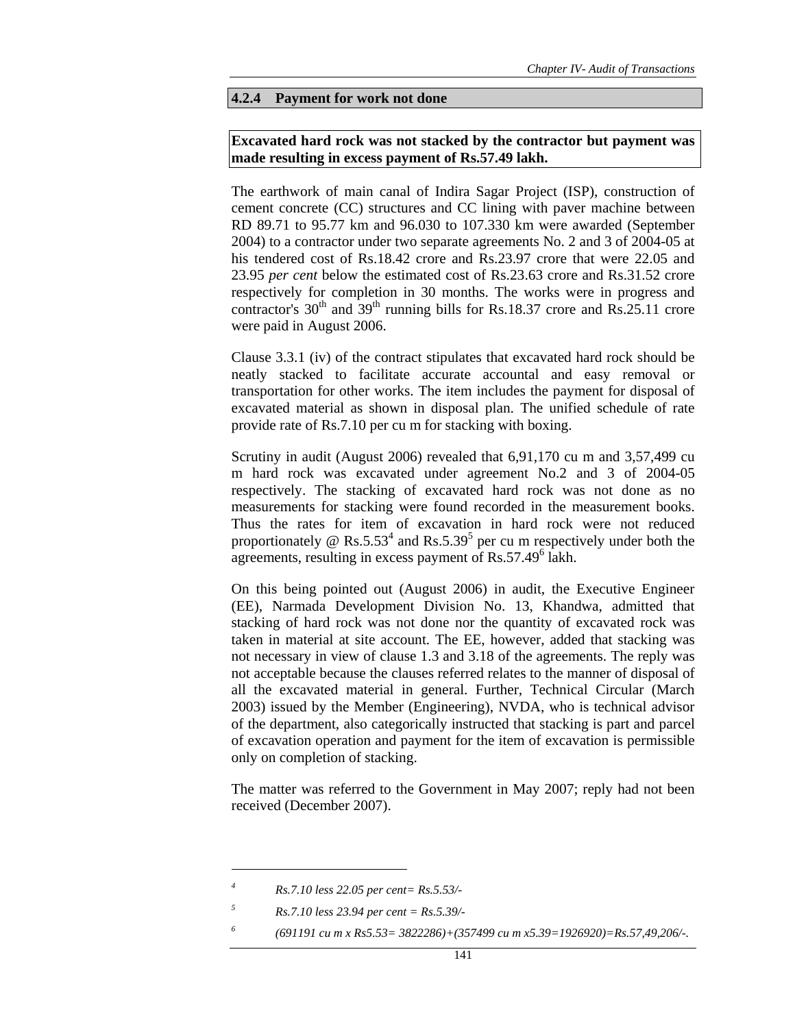#### **4.2.4 Payment for work not done**

#### **Excavated hard rock was not stacked by the contractor but payment was made resulting in excess payment of Rs.57.49 lakh.**

The earthwork of main canal of Indira Sagar Project (ISP), construction of cement concrete (CC) structures and CC lining with paver machine between RD 89.71 to 95.77 km and 96.030 to 107.330 km were awarded (September 2004) to a contractor under two separate agreements No. 2 and 3 of 2004-05 at his tendered cost of Rs.18.42 crore and Rs.23.97 crore that were 22.05 and 23.95 *per cent* below the estimated cost of Rs.23.63 crore and Rs.31.52 crore respectively for completion in 30 months. The works were in progress and contractor's  $30<sup>th</sup>$  and  $39<sup>th</sup>$  running bills for Rs.18.37 crore and Rs.25.11 crore were paid in August 2006.

Clause 3.3.1 (iv) of the contract stipulates that excavated hard rock should be neatly stacked to facilitate accurate accountal and easy removal or transportation for other works. The item includes the payment for disposal of excavated material as shown in disposal plan. The unified schedule of rate provide rate of Rs.7.10 per cu m for stacking with boxing.

Scrutiny in audit (August 2006) revealed that 6,91,170 cu m and 3,57,499 cu m hard rock was excavated under agreement No.2 and 3 of 2004-05 respectively. The stacking of excavated hard rock was not done as no measurements for stacking were found recorded in the measurement books. Thus the rates for item of excavation in hard rock were not reduced proportionately @ Rs.5.53<sup>4</sup> and Rs.5.39<sup>5</sup> per cu m respectively under both the agreements, resulting in excess payment of Rs.57.49<sup>6</sup> lakh.

On this being pointed out (August 2006) in audit, the Executive Engineer (EE), Narmada Development Division No. 13, Khandwa, admitted that stacking of hard rock was not done nor the quantity of excavated rock was taken in material at site account. The EE, however, added that stacking was not necessary in view of clause 1.3 and 3.18 of the agreements. The reply was not acceptable because the clauses referred relates to the manner of disposal of all the excavated material in general. Further, Technical Circular (March 2003) issued by the Member (Engineering), NVDA, who is technical advisor of the department, also categorically instructed that stacking is part and parcel of excavation operation and payment for the item of excavation is permissible only on completion of stacking.

The matter was referred to the Government in May 2007; reply had not been received (December 2007).

 $\overline{a}$ 

*5 Rs.7.10 less 23.94 per cent = Rs.5.39/-* 

*<sup>4</sup> Rs.7.10 less 22.05 per cent= Rs.5.53/-* 

*<sup>6</sup> (691191 cu m x Rs5.53= 3822286)+(357499 cu m x5.39=1926920)=Rs.57,49,206/-.*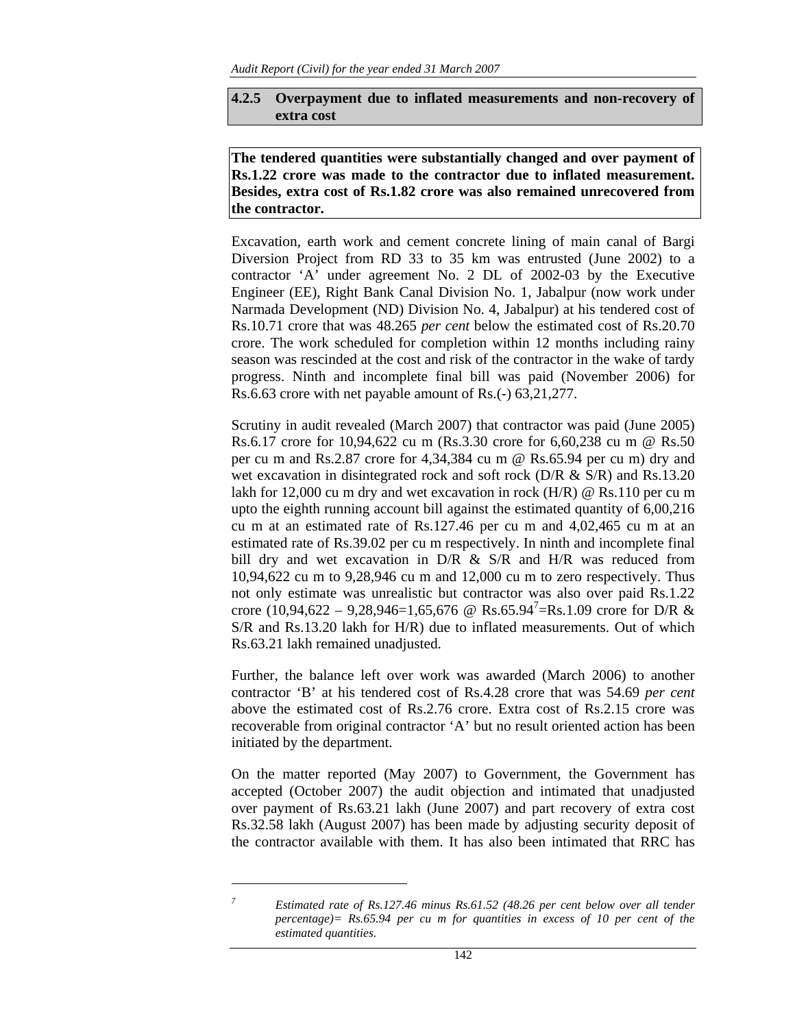## **4.2.5 Overpayment due to inflated measurements and non-recovery of extra cost**

**The tendered quantities were substantially changed and over payment of Rs.1.22 crore was made to the contractor due to inflated measurement. Besides, extra cost of Rs.1.82 crore was also remained unrecovered from the contractor.** 

Excavation, earth work and cement concrete lining of main canal of Bargi Diversion Project from RD 33 to 35 km was entrusted (June 2002) to a contractor 'A' under agreement No. 2 DL of 2002-03 by the Executive Engineer (EE), Right Bank Canal Division No. 1, Jabalpur (now work under Narmada Development (ND) Division No. 4, Jabalpur) at his tendered cost of Rs.10.71 crore that was 48.265 *per cent* below the estimated cost of Rs.20.70 crore. The work scheduled for completion within 12 months including rainy season was rescinded at the cost and risk of the contractor in the wake of tardy progress. Ninth and incomplete final bill was paid (November 2006) for Rs.6.63 crore with net payable amount of Rs.(-) 63,21,277.

Scrutiny in audit revealed (March 2007) that contractor was paid (June 2005) Rs.6.17 crore for 10,94,622 cu m (Rs.3.30 crore for 6,60,238 cu m @ Rs.50 per cu m and Rs.2.87 crore for 4,34,384 cu m @ Rs.65.94 per cu m) dry and wet excavation in disintegrated rock and soft rock (D/R & S/R) and Rs.13.20 lakh for 12,000 cu m dry and wet excavation in rock (H/R) @ Rs.110 per cu m upto the eighth running account bill against the estimated quantity of 6,00,216 cu m at an estimated rate of Rs.127.46 per cu m and 4,02,465 cu m at an estimated rate of Rs.39.02 per cu m respectively. In ninth and incomplete final bill dry and wet excavation in D/R & S/R and H/R was reduced from 10,94,622 cu m to 9,28,946 cu m and 12,000 cu m to zero respectively. Thus not only estimate was unrealistic but contractor was also over paid Rs.1.22 crore  $(10,94,622 - 9,28,946=1,65,676$  @ Rs.65.94<sup>7</sup>=Rs.1.09 crore for D/R & S/R and Rs.13.20 lakh for H/R) due to inflated measurements. Out of which Rs.63.21 lakh remained unadjusted.

Further, the balance left over work was awarded (March 2006) to another contractor 'B' at his tendered cost of Rs.4.28 crore that was 54.69 *per cent* above the estimated cost of Rs.2.76 crore. Extra cost of Rs.2.15 crore was recoverable from original contractor 'A' but no result oriented action has been initiated by the department.

On the matter reported (May 2007) to Government, the Government has accepted (October 2007) the audit objection and intimated that unadjusted over payment of Rs.63.21 lakh (June 2007) and part recovery of extra cost Rs.32.58 lakh (August 2007) has been made by adjusting security deposit of the contractor available with them. It has also been intimated that RRC has

*Estimated rate of Rs.127.46 minus Rs.61.52 (48.26 per cent below over all tender percentage)= Rs.65.94 per cu m for quantities in excess of 10 per cent of the estimated quantities.*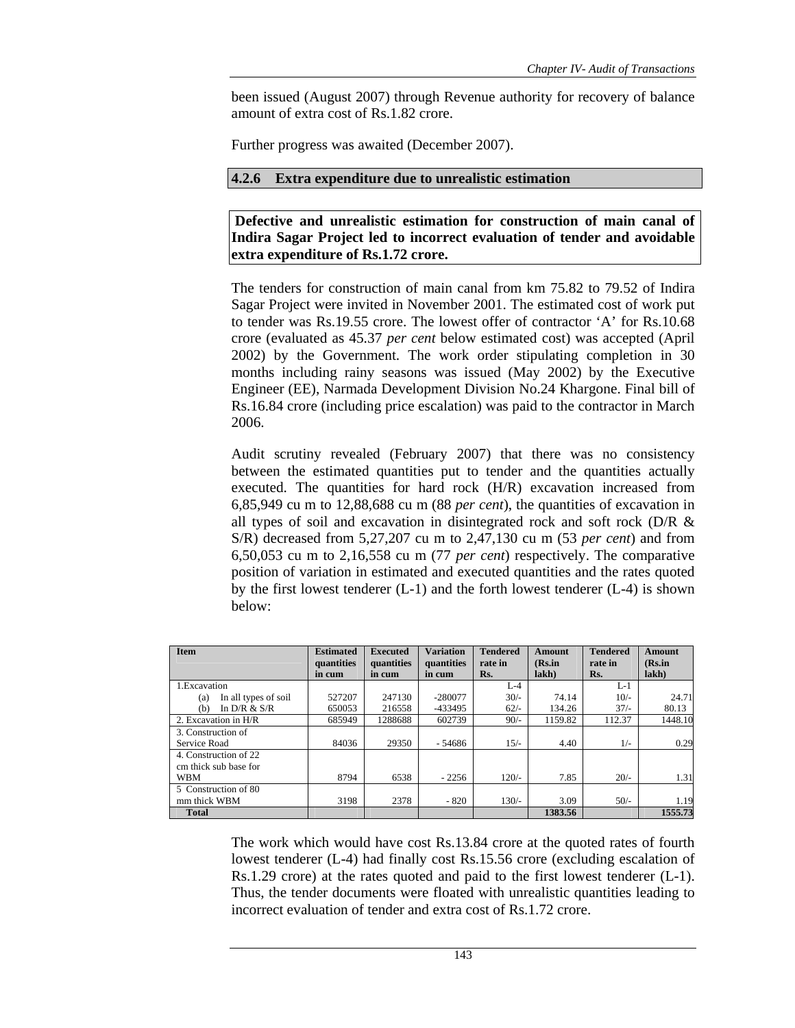been issued (August 2007) through Revenue authority for recovery of balance amount of extra cost of Rs.1.82 crore.

Further progress was awaited (December 2007).

### **4.2.6 Extra expenditure due to unrealistic estimation**

 **Defective and unrealistic estimation for construction of main canal of Indira Sagar Project led to incorrect evaluation of tender and avoidable extra expenditure of Rs.1.72 crore.** 

The tenders for construction of main canal from km 75.82 to 79.52 of Indira Sagar Project were invited in November 2001. The estimated cost of work put to tender was Rs.19.55 crore. The lowest offer of contractor 'A' for Rs.10.68 crore (evaluated as 45.37 *per cent* below estimated cost) was accepted (April 2002) by the Government. The work order stipulating completion in 30 months including rainy seasons was issued (May 2002) by the Executive Engineer (EE), Narmada Development Division No.24 Khargone. Final bill of Rs.16.84 crore (including price escalation) was paid to the contractor in March 2006.

Audit scrutiny revealed (February 2007) that there was no consistency between the estimated quantities put to tender and the quantities actually executed. The quantities for hard rock (H/R) excavation increased from 6,85,949 cu m to 12,88,688 cu m (88 *per cent*), the quantities of excavation in all types of soil and excavation in disintegrated rock and soft rock (D/R & S/R) decreased from 5,27,207 cu m to 2,47,130 cu m (53 *per cent*) and from 6,50,053 cu m to 2,16,558 cu m (77 *per cent*) respectively. The comparative position of variation in estimated and executed quantities and the rates quoted by the first lowest tenderer (L-1) and the forth lowest tenderer (L-4) is shown below:

| <b>Item</b>                 | <b>Estimated</b>     | <b>Executed</b>      | <b>Variation</b>     | <b>Tendered</b><br>rate in | <b>Amount</b><br>(Rs.in | <b>Tendered</b><br>rate in | Amount<br>(Rs.in) |
|-----------------------------|----------------------|----------------------|----------------------|----------------------------|-------------------------|----------------------------|-------------------|
|                             | quantities<br>in cum | quantities<br>in cum | quantities<br>in cum | Rs.                        | lakh)                   | Rs.                        | $lakh$ )          |
| 1. Excavation               |                      |                      |                      | $L-4$                      |                         | L-1                        |                   |
| In all types of soil<br>(a) | 527207               | 247130               | $-280077$            | $30/-$                     | 74.14                   | $10/-$                     | 24.71             |
| In $D/R & S/R$<br>(b)       | 650053               | 216558               | -433495              | $62/-$                     | 134.26                  | $37/-$                     | 80.13             |
| 2. Excavation in H/R        | 685949               | 1288688              | 602739               | $90/-$                     | 1159.82                 | 112.37                     | 1448.10           |
| 3. Construction of          |                      |                      |                      |                            |                         |                            |                   |
| Service Road                | 84036                | 29350                | - 54686              | $15/-$                     | 4.40                    | $1/-$                      | 0.29              |
| 4. Construction of 22       |                      |                      |                      |                            |                         |                            |                   |
| cm thick sub base for       |                      |                      |                      |                            |                         |                            |                   |
| <b>WBM</b>                  | 8794                 | 6538                 | $-2256$              | $120/-$                    | 7.85                    | $20/-$                     | 1.31              |
| 5 Construction of 80        |                      |                      |                      |                            |                         |                            |                   |
| mm thick WBM                | 3198                 | 2378                 | $-820$               | $130/-$                    | 3.09                    | $50/-$                     | 1.19              |
| <b>Total</b>                |                      |                      |                      |                            | 1383.56                 |                            | 1555.73           |

The work which would have cost Rs.13.84 crore at the quoted rates of fourth lowest tenderer (L-4) had finally cost Rs.15.56 crore (excluding escalation of Rs.1.29 crore) at the rates quoted and paid to the first lowest tenderer (L-1). Thus, the tender documents were floated with unrealistic quantities leading to incorrect evaluation of tender and extra cost of Rs.1.72 crore.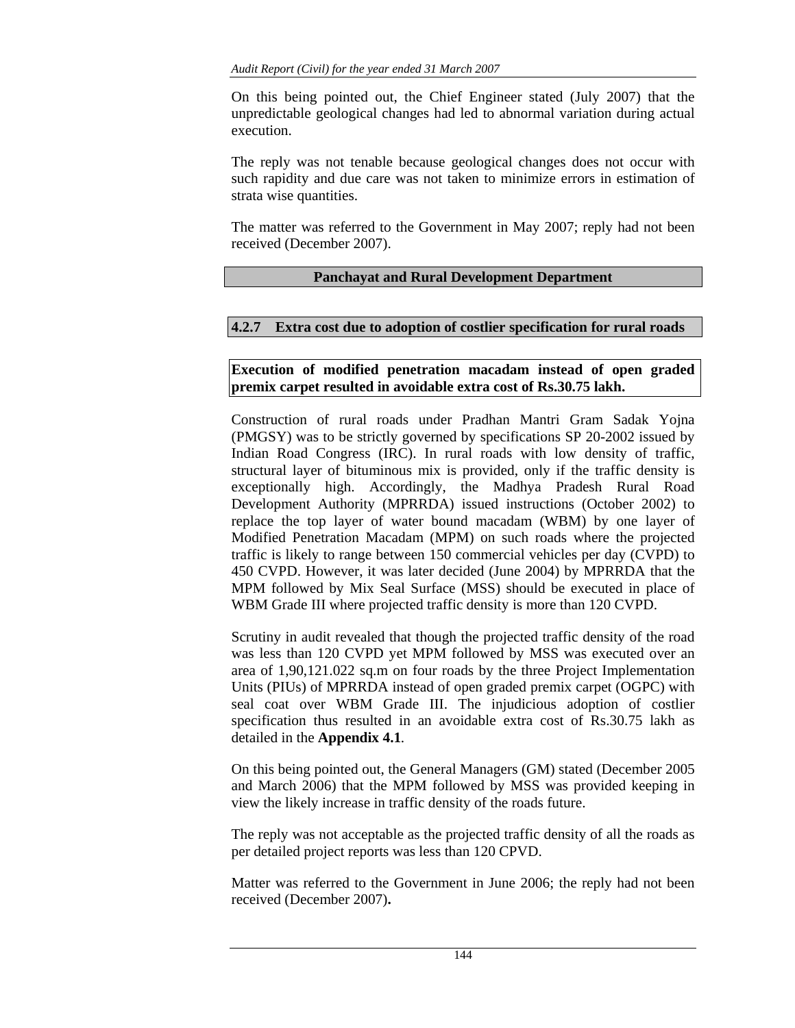On this being pointed out, the Chief Engineer stated (July 2007) that the unpredictable geological changes had led to abnormal variation during actual execution.

The reply was not tenable because geological changes does not occur with such rapidity and due care was not taken to minimize errors in estimation of strata wise quantities.

The matter was referred to the Government in May 2007; reply had not been received (December 2007).

## **Panchayat and Rural Development Department**

## **4.2.7 Extra cost due to adoption of costlier specification for rural roads**

**Execution of modified penetration macadam instead of open graded premix carpet resulted in avoidable extra cost of Rs.30.75 lakh.** 

Construction of rural roads under Pradhan Mantri Gram Sadak Yojna (PMGSY) was to be strictly governed by specifications SP 20-2002 issued by Indian Road Congress (IRC). In rural roads with low density of traffic, structural layer of bituminous mix is provided, only if the traffic density is exceptionally high. Accordingly, the Madhya Pradesh Rural Road Development Authority (MPRRDA) issued instructions (October 2002) to replace the top layer of water bound macadam (WBM) by one layer of Modified Penetration Macadam (MPM) on such roads where the projected traffic is likely to range between 150 commercial vehicles per day (CVPD) to 450 CVPD. However, it was later decided (June 2004) by MPRRDA that the MPM followed by Mix Seal Surface (MSS) should be executed in place of WBM Grade III where projected traffic density is more than 120 CVPD.

Scrutiny in audit revealed that though the projected traffic density of the road was less than 120 CVPD yet MPM followed by MSS was executed over an area of 1,90,121.022 sq.m on four roads by the three Project Implementation Units (PIUs) of MPRRDA instead of open graded premix carpet (OGPC) with seal coat over WBM Grade III. The injudicious adoption of costlier specification thus resulted in an avoidable extra cost of Rs.30.75 lakh as detailed in the **Appendix 4.1***.* 

On this being pointed out, the General Managers (GM) stated (December 2005 and March 2006) that the MPM followed by MSS was provided keeping in view the likely increase in traffic density of the roads future.

The reply was not acceptable as the projected traffic density of all the roads as per detailed project reports was less than 120 CPVD.

Matter was referred to the Government in June 2006; the reply had not been received (December 2007)**.**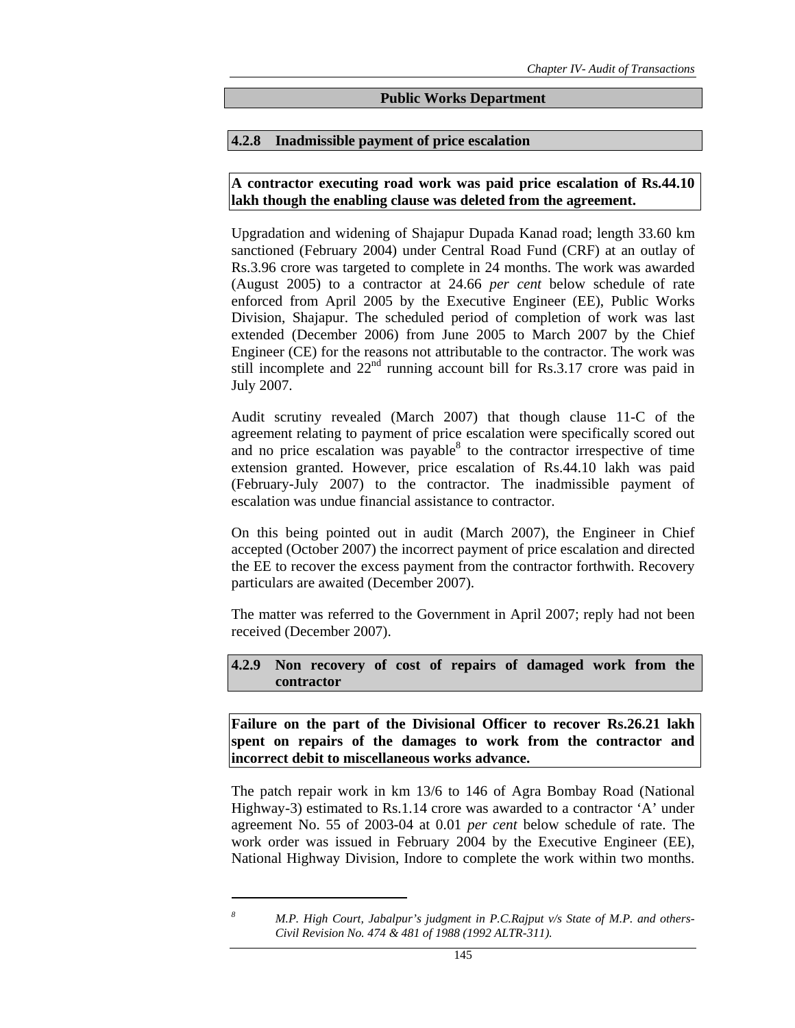#### **Public Works Department**

#### **4.2.8 Inadmissible payment of price escalation**

**A contractor executing road work was paid price escalation of Rs.44.10 lakh though the enabling clause was deleted from the agreement.** 

Upgradation and widening of Shajapur Dupada Kanad road; length 33.60 km sanctioned (February 2004) under Central Road Fund (CRF) at an outlay of Rs.3.96 crore was targeted to complete in 24 months. The work was awarded (August 2005) to a contractor at 24.66 *per cent* below schedule of rate enforced from April 2005 by the Executive Engineer (EE), Public Works Division, Shajapur. The scheduled period of completion of work was last extended (December 2006) from June 2005 to March 2007 by the Chief Engineer (CE) for the reasons not attributable to the contractor. The work was still incomplete and  $22<sup>nd</sup>$  running account bill for Rs.3.17 crore was paid in July 2007.

Audit scrutiny revealed (March 2007) that though clause 11-C of the agreement relating to payment of price escalation were specifically scored out and no price escalation was payable $8$  to the contractor irrespective of time extension granted. However, price escalation of Rs.44.10 lakh was paid (February-July 2007) to the contractor. The inadmissible payment of escalation was undue financial assistance to contractor.

On this being pointed out in audit (March 2007), the Engineer in Chief accepted (October 2007) the incorrect payment of price escalation and directed the EE to recover the excess payment from the contractor forthwith. Recovery particulars are awaited (December 2007).

The matter was referred to the Government in April 2007; reply had not been received (December 2007).

**4.2.9 Non recovery of cost of repairs of damaged work from the contractor** 

**Failure on the part of the Divisional Officer to recover Rs.26.21 lakh spent on repairs of the damages to work from the contractor and incorrect debit to miscellaneous works advance.** 

The patch repair work in km 13/6 to 146 of Agra Bombay Road (National Highway-3) estimated to Rs.1.14 crore was awarded to a contractor 'A' under agreement No. 55 of 2003-04 at 0.01 *per cent* below schedule of rate. The work order was issued in February 2004 by the Executive Engineer (EE), National Highway Division, Indore to complete the work within two months.

*M.P. High Court, Jabalpur's judgment in P.C.Rajput v/s State of M.P. and others-Civil Revision No. 474 & 481 of 1988 (1992 ALTR-311).*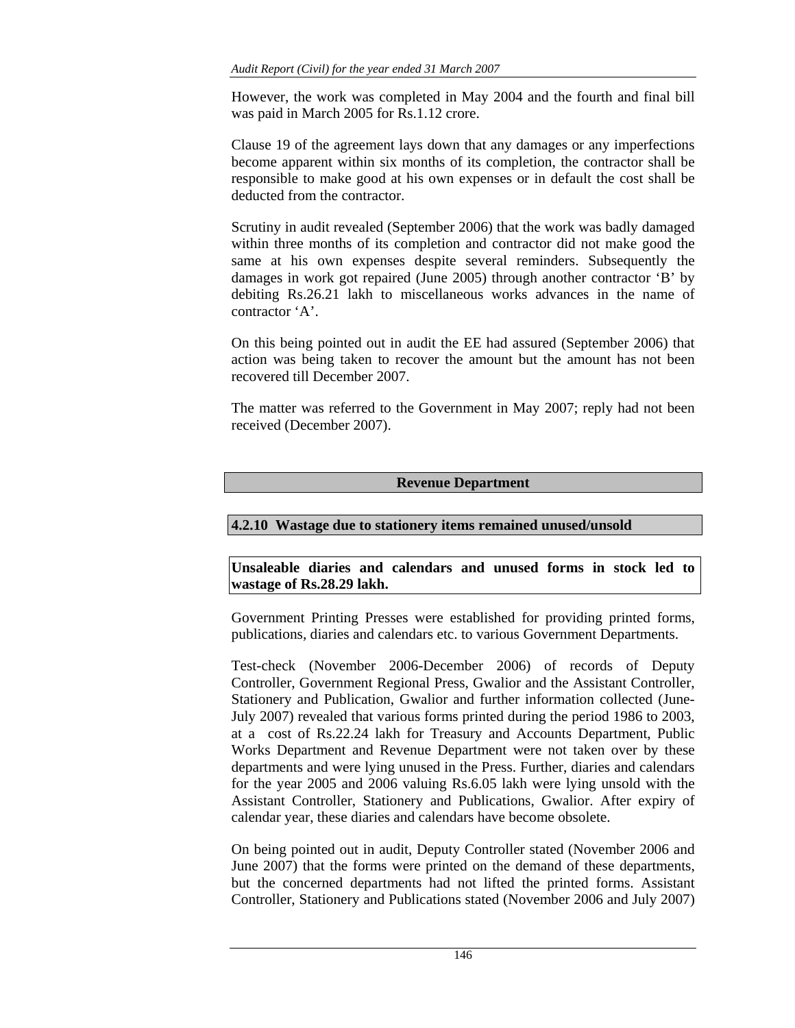However, the work was completed in May 2004 and the fourth and final bill was paid in March 2005 for Rs.1.12 crore.

Clause 19 of the agreement lays down that any damages or any imperfections become apparent within six months of its completion, the contractor shall be responsible to make good at his own expenses or in default the cost shall be deducted from the contractor.

Scrutiny in audit revealed (September 2006) that the work was badly damaged within three months of its completion and contractor did not make good the same at his own expenses despite several reminders. Subsequently the damages in work got repaired (June 2005) through another contractor 'B' by debiting Rs.26.21 lakh to miscellaneous works advances in the name of contractor 'A'.

On this being pointed out in audit the EE had assured (September 2006) that action was being taken to recover the amount but the amount has not been recovered till December 2007.

The matter was referred to the Government in May 2007; reply had not been received (December 2007).

# **Revenue Department**

# **4.2.10 Wastage due to stationery items remained unused/unsold**

# **Unsaleable diaries and calendars and unused forms in stock led to wastage of Rs.28.29 lakh.**

Government Printing Presses were established for providing printed forms, publications, diaries and calendars etc. to various Government Departments.

Test-check (November 2006-December 2006) of records of Deputy Controller, Government Regional Press, Gwalior and the Assistant Controller, Stationery and Publication, Gwalior and further information collected (June-July 2007) revealed that various forms printed during the period 1986 to 2003, at a cost of Rs.22.24 lakh for Treasury and Accounts Department, Public Works Department and Revenue Department were not taken over by these departments and were lying unused in the Press. Further, diaries and calendars for the year 2005 and 2006 valuing Rs.6.05 lakh were lying unsold with the Assistant Controller, Stationery and Publications, Gwalior. After expiry of calendar year, these diaries and calendars have become obsolete.

On being pointed out in audit, Deputy Controller stated (November 2006 and June 2007) that the forms were printed on the demand of these departments, but the concerned departments had not lifted the printed forms. Assistant Controller, Stationery and Publications stated (November 2006 and July 2007)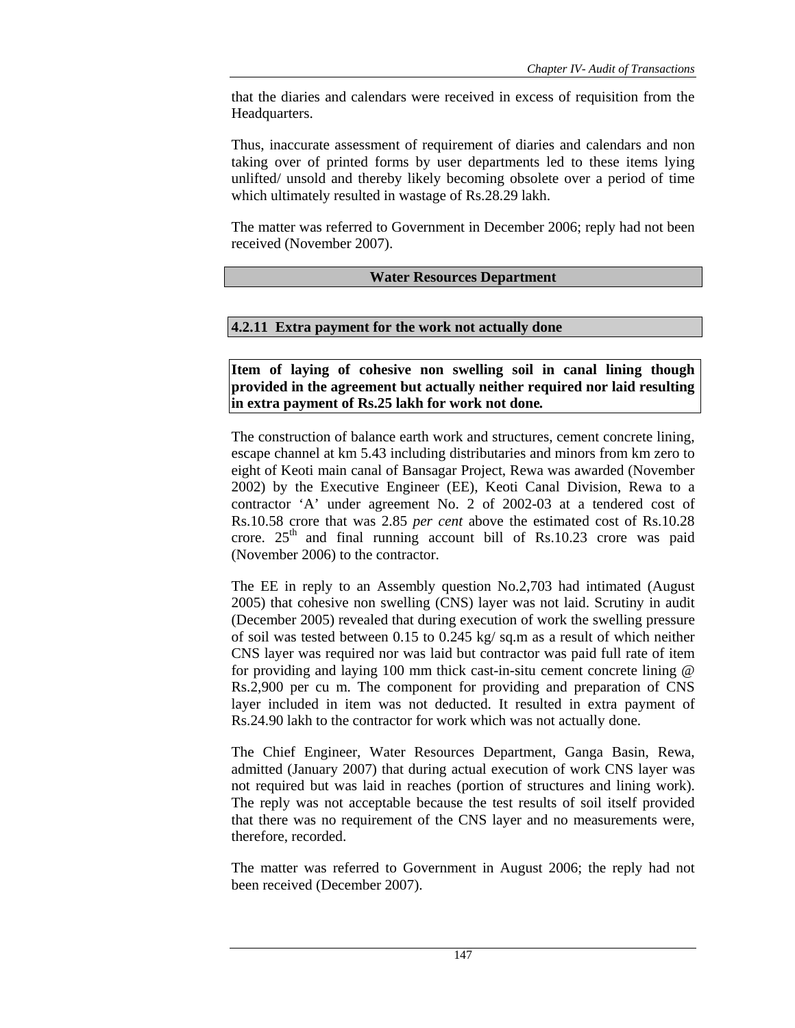that the diaries and calendars were received in excess of requisition from the Headquarters.

Thus, inaccurate assessment of requirement of diaries and calendars and non taking over of printed forms by user departments led to these items lying unlifted/ unsold and thereby likely becoming obsolete over a period of time which ultimately resulted in wastage of Rs.28.29 lakh.

The matter was referred to Government in December 2006; reply had not been received (November 2007).

## **Water Resources Department**

## **4.2.11 Extra payment for the work not actually done**

**Item of laying of cohesive non swelling soil in canal lining though provided in the agreement but actually neither required nor laid resulting in extra payment of Rs.25 lakh for work not done***.* 

The construction of balance earth work and structures, cement concrete lining, escape channel at km 5.43 including distributaries and minors from km zero to eight of Keoti main canal of Bansagar Project, Rewa was awarded (November 2002) by the Executive Engineer (EE), Keoti Canal Division, Rewa to a contractor 'A' under agreement No. 2 of 2002-03 at a tendered cost of Rs.10.58 crore that was 2.85 *per cent* above the estimated cost of Rs.10.28 crore.  $25<sup>th</sup>$  and final running account bill of Rs.10.23 crore was paid (November 2006) to the contractor.

The EE in reply to an Assembly question No.2,703 had intimated (August 2005) that cohesive non swelling (CNS) layer was not laid. Scrutiny in audit (December 2005) revealed that during execution of work the swelling pressure of soil was tested between 0.15 to 0.245 kg/ sq.m as a result of which neither CNS layer was required nor was laid but contractor was paid full rate of item for providing and laying 100 mm thick cast-in-situ cement concrete lining @ Rs.2,900 per cu m. The component for providing and preparation of CNS layer included in item was not deducted. It resulted in extra payment of Rs.24.90 lakh to the contractor for work which was not actually done.

The Chief Engineer, Water Resources Department, Ganga Basin, Rewa, admitted (January 2007) that during actual execution of work CNS layer was not required but was laid in reaches (portion of structures and lining work). The reply was not acceptable because the test results of soil itself provided that there was no requirement of the CNS layer and no measurements were, therefore, recorded.

The matter was referred to Government in August 2006; the reply had not been received (December 2007).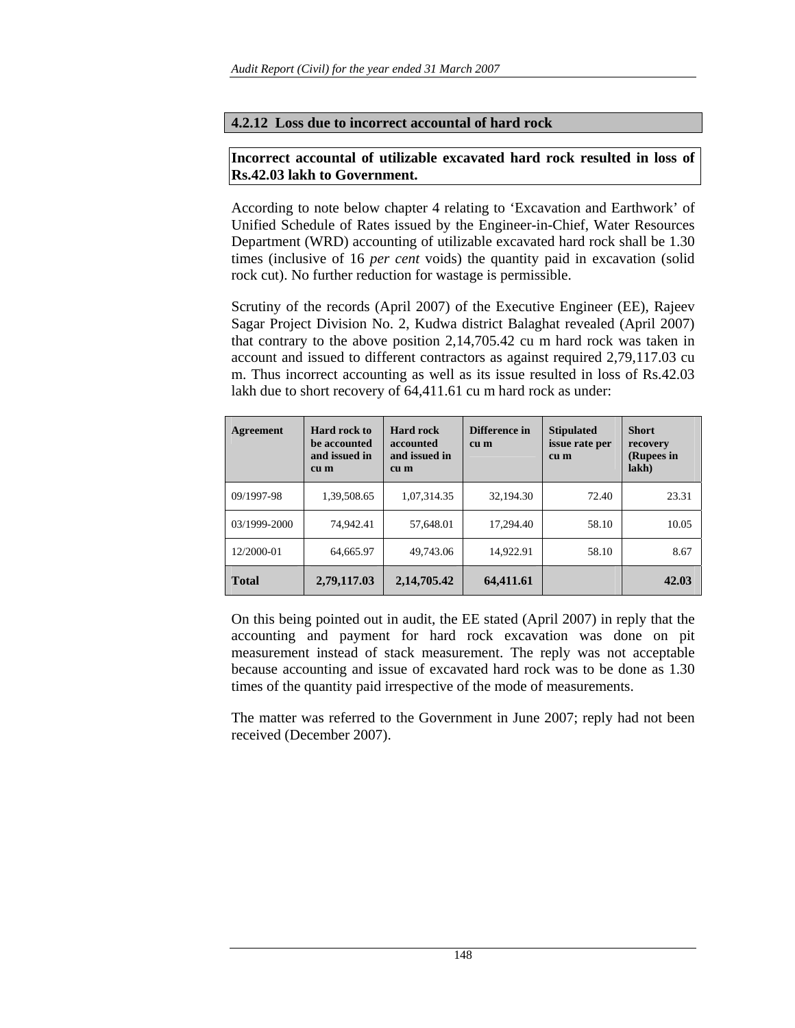## **4.2.12 Loss due to incorrect accountal of hard rock**

# **Incorrect accountal of utilizable excavated hard rock resulted in loss of Rs.42.03 lakh to Government.**

According to note below chapter 4 relating to 'Excavation and Earthwork' of Unified Schedule of Rates issued by the Engineer-in-Chief, Water Resources Department (WRD) accounting of utilizable excavated hard rock shall be 1.30 times (inclusive of 16 *per cent* voids) the quantity paid in excavation (solid rock cut). No further reduction for wastage is permissible.

Scrutiny of the records (April 2007) of the Executive Engineer (EE), Rajeev Sagar Project Division No. 2, Kudwa district Balaghat revealed (April 2007) that contrary to the above position 2,14,705.42 cu m hard rock was taken in account and issued to different contractors as against required 2,79,117.03 cu m. Thus incorrect accounting as well as its issue resulted in loss of Rs.42.03 lakh due to short recovery of 64,411.61 cu m hard rock as under:

| Agreement    | Hard rock to<br>be accounted<br>and issued in<br>cu m | <b>Hard rock</b><br>accounted<br>and issued in<br>cu m | Difference in<br>cu m | <b>Stipulated</b><br>issue rate per<br>cu m | <b>Short</b><br>recovery<br>(Rupees in<br>lakh) |
|--------------|-------------------------------------------------------|--------------------------------------------------------|-----------------------|---------------------------------------------|-------------------------------------------------|
| 09/1997-98   | 1,39,508.65                                           | 1,07,314.35                                            | 32,194.30             | 72.40                                       | 23.31                                           |
| 03/1999-2000 | 74,942.41                                             | 57,648.01                                              | 17,294.40             | 58.10                                       | 10.05                                           |
| 12/2000-01   | 64,665.97                                             | 49,743.06                                              | 14,922.91             | 58.10                                       | 8.67                                            |
| <b>Total</b> | 2,79,117.03                                           | 2,14,705.42                                            | 64,411.61             |                                             | 42.03                                           |

On this being pointed out in audit, the EE stated (April 2007) in reply that the accounting and payment for hard rock excavation was done on pit measurement instead of stack measurement. The reply was not acceptable because accounting and issue of excavated hard rock was to be done as 1.30 times of the quantity paid irrespective of the mode of measurements.

The matter was referred to the Government in June 2007; reply had not been received (December 2007).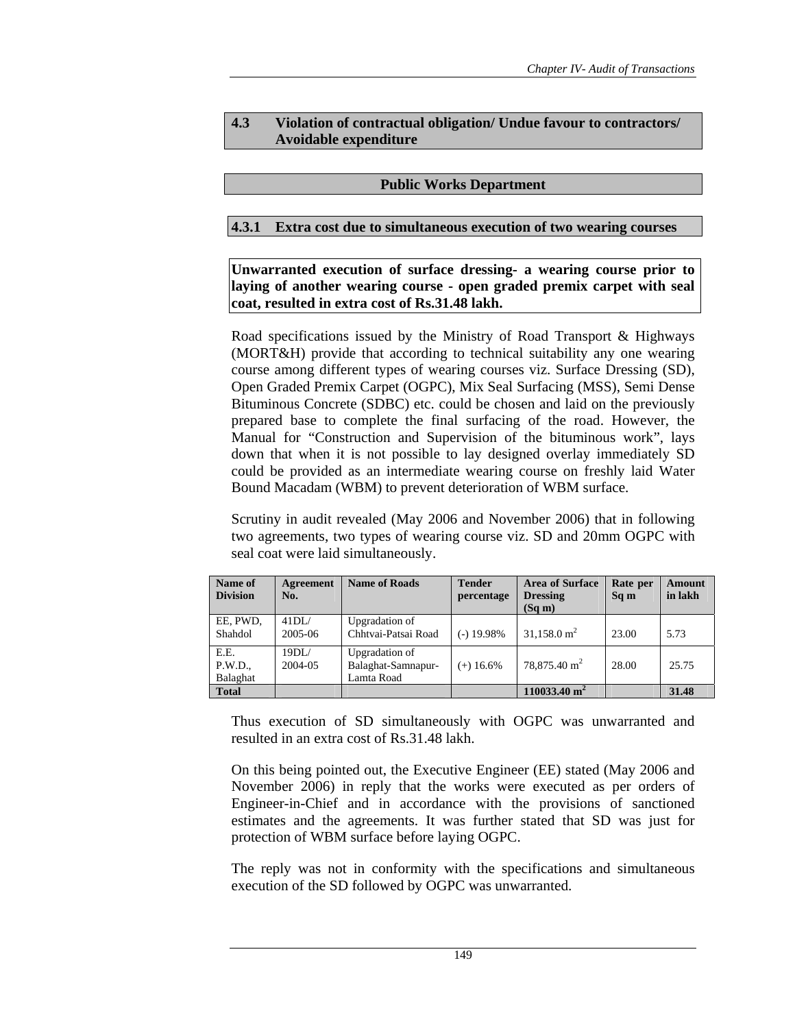## **4.3 Violation of contractual obligation/ Undue favour to contractors/ Avoidable expenditure**

### **Public Works Department**

### **4.3.1 Extra cost due to simultaneous execution of two wearing courses**

**Unwarranted execution of surface dressing- a wearing course prior to laying of another wearing course - open graded premix carpet with seal coat, resulted in extra cost of Rs.31.48 lakh.** 

Road specifications issued by the Ministry of Road Transport & Highways (MORT&H) provide that according to technical suitability any one wearing course among different types of wearing courses viz. Surface Dressing (SD), Open Graded Premix Carpet (OGPC), Mix Seal Surfacing (MSS), Semi Dense Bituminous Concrete (SDBC) etc. could be chosen and laid on the previously prepared base to complete the final surfacing of the road. However, the Manual for "Construction and Supervision of the bituminous work", lays down that when it is not possible to lay designed overlay immediately SD could be provided as an intermediate wearing course on freshly laid Water Bound Macadam (WBM) to prevent deterioration of WBM surface.

Scrutiny in audit revealed (May 2006 and November 2006) that in following two agreements, two types of wearing course viz. SD and 20mm OGPC with seal coat were laid simultaneously.

| Name of<br><b>Division</b>  | Agreement<br>No. | <b>Name of Roads</b>                               | <b>Tender</b><br>percentage | <b>Area of Surface</b><br><b>Dressing</b><br>(Sq m) | Rate per<br>Sq m | <b>Amount</b><br>in lakh |
|-----------------------------|------------------|----------------------------------------------------|-----------------------------|-----------------------------------------------------|------------------|--------------------------|
| EE, PWD,<br>Shahdol         | 41DL/<br>2005-06 | Upgradation of<br>Chhtvai-Patsai Road              | $(-)$ 19.98%                | $31,158.0 \text{ m}^2$                              | 23.00            | 5.73                     |
| E.E.<br>P.W.D.,<br>Balaghat | 19DL/<br>2004-05 | Upgradation of<br>Balaghat-Samnapur-<br>Lamta Road | $(+)$ 16.6%                 | $78,875.40 \text{ m}^2$                             | 28.00            | 25.75                    |
| <b>Total</b>                |                  |                                                    |                             | $110033.40 \text{ m}^2$                             |                  | 31.48                    |

Thus execution of SD simultaneously with OGPC was unwarranted and resulted in an extra cost of Rs.31.48 lakh.

On this being pointed out, the Executive Engineer (EE) stated (May 2006 and November 2006) in reply that the works were executed as per orders of Engineer-in-Chief and in accordance with the provisions of sanctioned estimates and the agreements. It was further stated that SD was just for protection of WBM surface before laying OGPC.

The reply was not in conformity with the specifications and simultaneous execution of the SD followed by OGPC was unwarranted.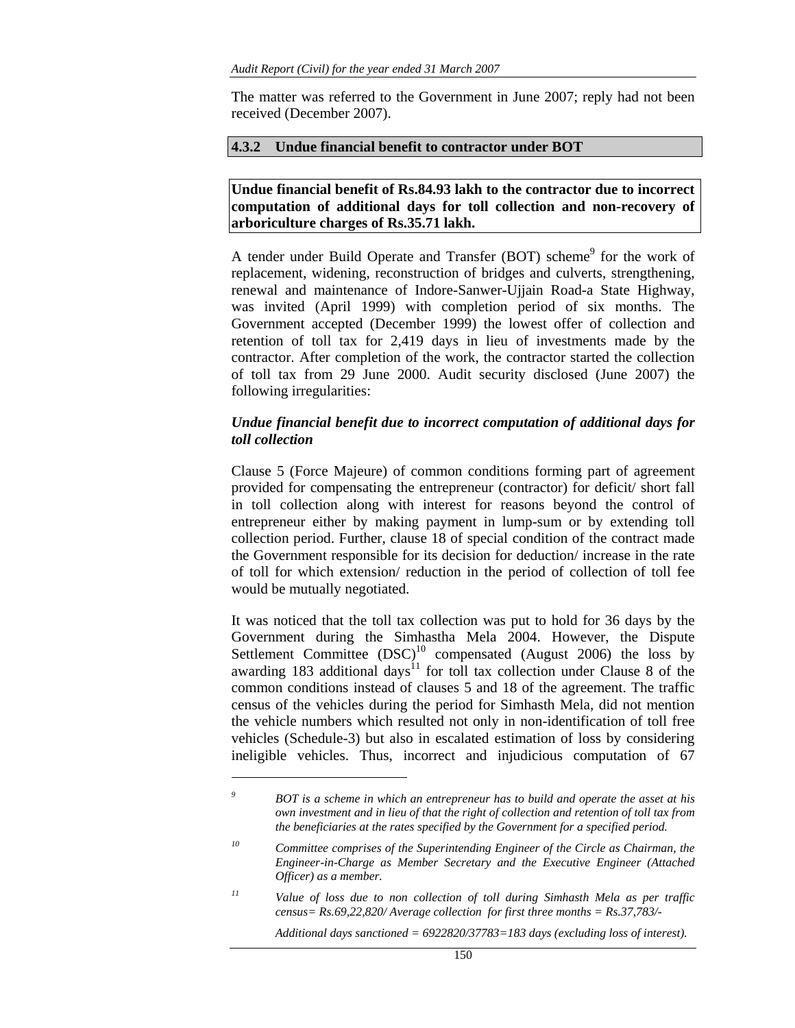The matter was referred to the Government in June 2007; reply had not been received (December 2007).

#### **4.3.2 Undue financial benefit to contractor under BOT**

#### **Undue financial benefit of Rs.84.93 lakh to the contractor due to incorrect computation of additional days for toll collection and non-recovery of arboriculture charges of Rs.35.71 lakh.**

A tender under Build Operate and Transfer (BOT) scheme<sup>9</sup> for the work of replacement, widening, reconstruction of bridges and culverts, strengthening, renewal and maintenance of Indore-Sanwer-Ujjain Road-a State Highway, was invited (April 1999) with completion period of six months. The Government accepted (December 1999) the lowest offer of collection and retention of toll tax for 2,419 days in lieu of investments made by the contractor. After completion of the work, the contractor started the collection of toll tax from 29 June 2000. Audit security disclosed (June 2007) the following irregularities:

### *Undue financial benefit due to incorrect computation of additional days for toll collection*

Clause 5 (Force Majeure) of common conditions forming part of agreement provided for compensating the entrepreneur (contractor) for deficit/ short fall in toll collection along with interest for reasons beyond the control of entrepreneur either by making payment in lump-sum or by extending toll collection period. Further, clause 18 of special condition of the contract made the Government responsible for its decision for deduction/ increase in the rate of toll for which extension/ reduction in the period of collection of toll fee would be mutually negotiated.

It was noticed that the toll tax collection was put to hold for 36 days by the Government during the Simhastha Mela 2004. However, the Dispute Settlement Committee  $(DSC)^{10}$  compensated (August 2006) the loss by awarding 183 additional days<sup>11</sup> for toll tax collection under Clause 8 of the common conditions instead of clauses 5 and 18 of the agreement. The traffic census of the vehicles during the period for Simhasth Mela, did not mention the vehicle numbers which resulted not only in non-identification of toll free vehicles (Schedule-3) but also in escalated estimation of loss by considering ineligible vehicles. Thus, incorrect and injudicious computation of 67

 $\overline{a}$ 

 *Additional days sanctioned = 6922820/37783=183 days (excluding loss of interest).* 

*<sup>9</sup> BOT is a scheme in which an entrepreneur has to build and operate the asset at his own investment and in lieu of that the right of collection and retention of toll tax from the beneficiaries at the rates specified by the Government for a specified period.* 

*<sup>10</sup> Committee comprises of the Superintending Engineer of the Circle as Chairman, the Engineer-in-Charge as Member Secretary and the Executive Engineer (Attached Officer) as a member.* 

*<sup>11</sup> Value of loss due to non collection of toll during Simhasth Mela as per traffic census= Rs.69,22,820/ Average collection for first three months = Rs.37,783/-*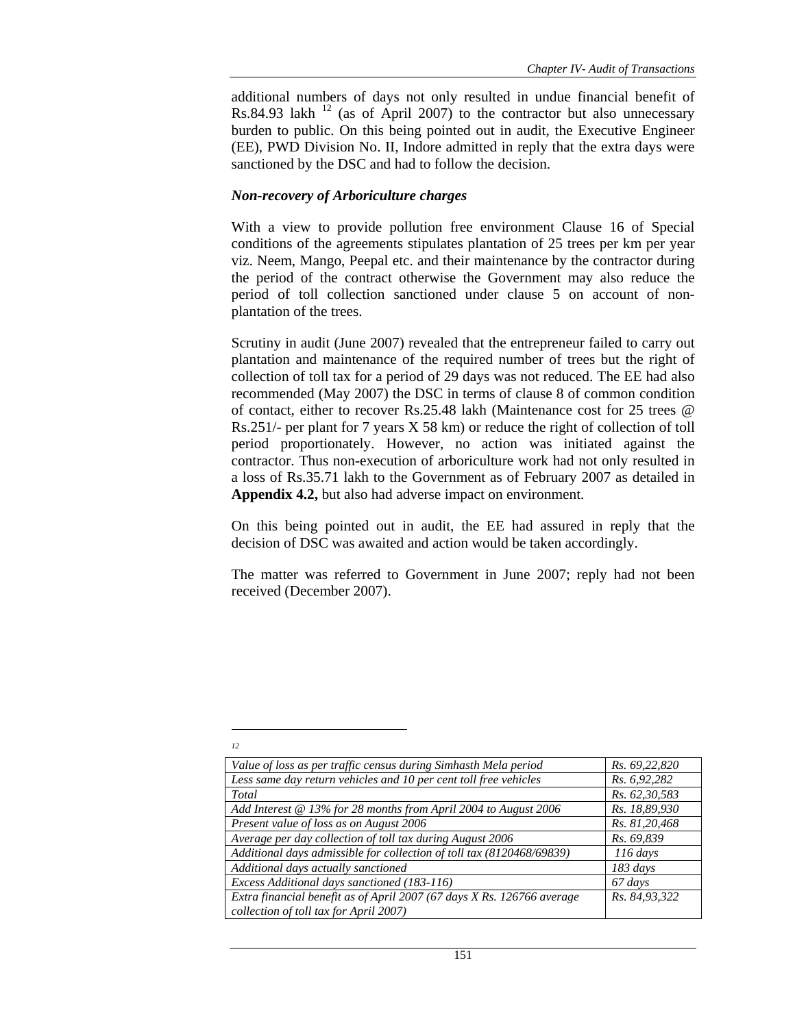additional numbers of days not only resulted in undue financial benefit of Rs.84.93 lakh  $^{12}$  (as of April 2007) to the contractor but also unnecessary burden to public. On this being pointed out in audit, the Executive Engineer (EE), PWD Division No. II, Indore admitted in reply that the extra days were sanctioned by the DSC and had to follow the decision.

#### *Non-recovery of Arboriculture charges*

 $\overline{a}$ *12* 

With a view to provide pollution free environment Clause 16 of Special conditions of the agreements stipulates plantation of 25 trees per km per year viz. Neem, Mango, Peepal etc. and their maintenance by the contractor during the period of the contract otherwise the Government may also reduce the period of toll collection sanctioned under clause 5 on account of nonplantation of the trees.

Scrutiny in audit (June 2007) revealed that the entrepreneur failed to carry out plantation and maintenance of the required number of trees but the right of collection of toll tax for a period of 29 days was not reduced. The EE had also recommended (May 2007) the DSC in terms of clause 8 of common condition of contact, either to recover Rs.25.48 lakh (Maintenance cost for 25 trees @ Rs.251/- per plant for 7 years X 58 km) or reduce the right of collection of toll period proportionately. However, no action was initiated against the contractor. Thus non-execution of arboriculture work had not only resulted in a loss of Rs.35.71 lakh to the Government as of February 2007 as detailed in **Appendix 4.2,** but also had adverse impact on environment.

On this being pointed out in audit, the EE had assured in reply that the decision of DSC was awaited and action would be taken accordingly.

The matter was referred to Government in June 2007; reply had not been received (December 2007).

| Value of loss as per traffic census during Simhasth Mela period        | Rs. 69,22,820 |
|------------------------------------------------------------------------|---------------|
| Less same day return vehicles and 10 per cent toll free vehicles       | Rs. 6,92,282  |
| Total                                                                  | Rs. 62,30,583 |
| Add Interest @ 13% for 28 months from April 2004 to August 2006        | Rs. 18,89,930 |
| Present value of loss as on August 2006                                | Rs. 81,20,468 |
| Average per day collection of toll tax during August 2006              | Rs. 69,839    |
| Additional days admissible for collection of toll tax (8120468/69839)  | $116$ days    |
| Additional days actually sanctioned                                    | $183 \; days$ |
| Excess Additional days sanctioned (183-116)                            | 67 days       |
| Extra financial benefit as of April 2007 (67 days X Rs. 126766 average | Rs. 84,93,322 |
| collection of toll tax for April 2007)                                 |               |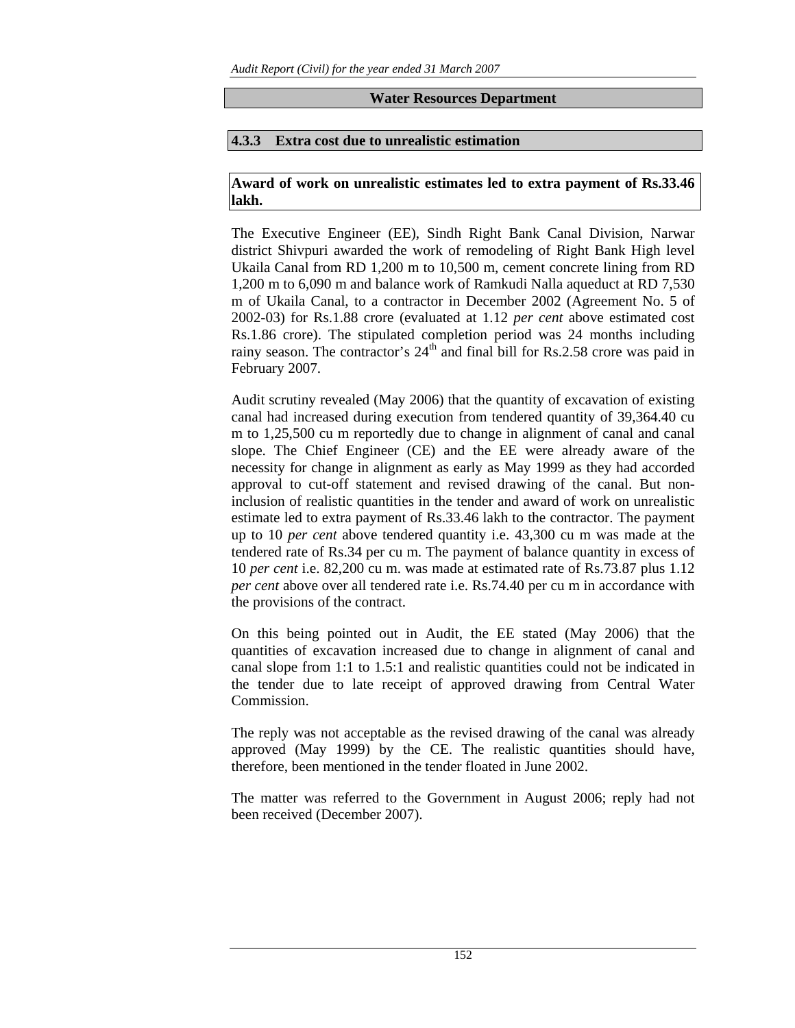## **Water Resources Department**

## **4.3.3 Extra cost due to unrealistic estimation**

## **Award of work on unrealistic estimates led to extra payment of Rs.33.46 lakh.**

The Executive Engineer (EE), Sindh Right Bank Canal Division, Narwar district Shivpuri awarded the work of remodeling of Right Bank High level Ukaila Canal from RD 1,200 m to 10,500 m, cement concrete lining from RD 1,200 m to 6,090 m and balance work of Ramkudi Nalla aqueduct at RD 7,530 m of Ukaila Canal, to a contractor in December 2002 (Agreement No. 5 of 2002-03) for Rs.1.88 crore (evaluated at 1.12 *per cent* above estimated cost Rs.1.86 crore). The stipulated completion period was 24 months including rainy season. The contractor's 24<sup>th</sup> and final bill for Rs.2.58 crore was paid in February 2007.

Audit scrutiny revealed (May 2006) that the quantity of excavation of existing canal had increased during execution from tendered quantity of 39,364.40 cu m to 1,25,500 cu m reportedly due to change in alignment of canal and canal slope. The Chief Engineer (CE) and the EE were already aware of the necessity for change in alignment as early as May 1999 as they had accorded approval to cut-off statement and revised drawing of the canal. But noninclusion of realistic quantities in the tender and award of work on unrealistic estimate led to extra payment of Rs.33.46 lakh to the contractor. The payment up to 10 *per cent* above tendered quantity i.e. 43,300 cu m was made at the tendered rate of Rs.34 per cu m. The payment of balance quantity in excess of 10 *per cent* i.e. 82,200 cu m. was made at estimated rate of Rs.73.87 plus 1.12 *per cent* above over all tendered rate i.e. Rs.74.40 per cu m in accordance with the provisions of the contract.

On this being pointed out in Audit, the EE stated (May 2006) that the quantities of excavation increased due to change in alignment of canal and canal slope from 1:1 to 1.5:1 and realistic quantities could not be indicated in the tender due to late receipt of approved drawing from Central Water Commission.

The reply was not acceptable as the revised drawing of the canal was already approved (May 1999) by the CE. The realistic quantities should have, therefore, been mentioned in the tender floated in June 2002.

The matter was referred to the Government in August 2006; reply had not been received (December 2007).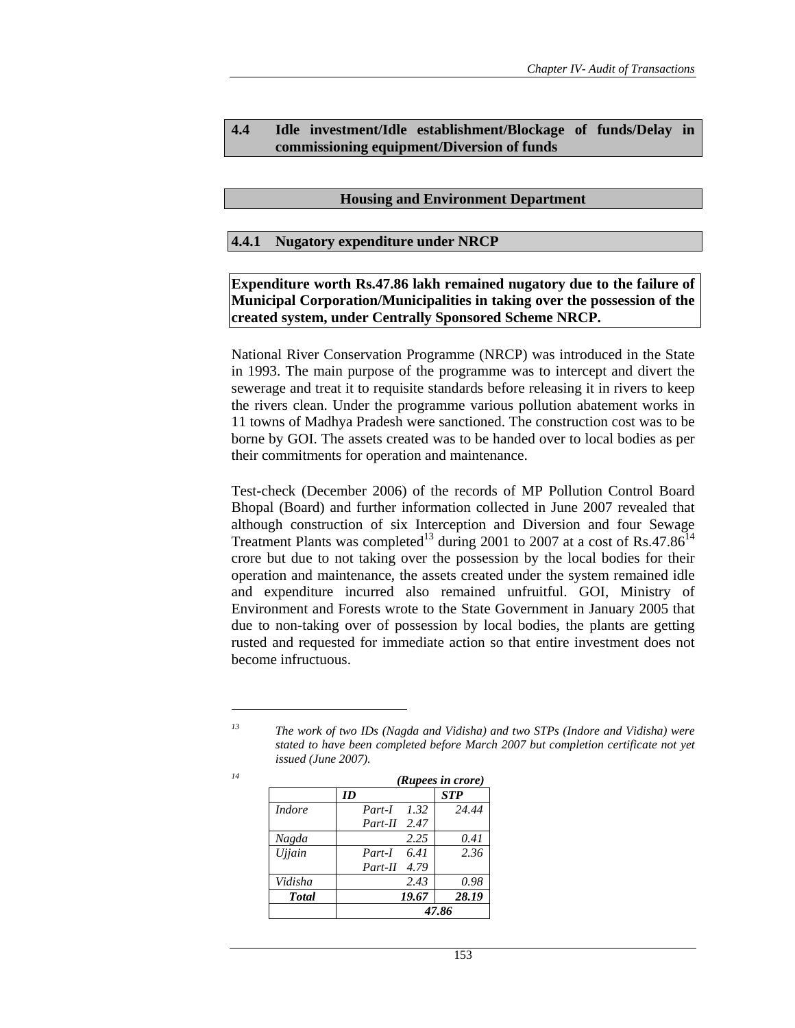## **4.4 Idle investment/Idle establishment/Blockage of funds/Delay in commissioning equipment/Diversion of funds**

#### **Housing and Environment Department**

#### **4.4.1 Nugatory expenditure under NRCP**

**Expenditure worth Rs.47.86 lakh remained nugatory due to the failure of Municipal Corporation/Municipalities in taking over the possession of the created system, under Centrally Sponsored Scheme NRCP.** 

National River Conservation Programme (NRCP) was introduced in the State in 1993. The main purpose of the programme was to intercept and divert the sewerage and treat it to requisite standards before releasing it in rivers to keep the rivers clean. Under the programme various pollution abatement works in 11 towns of Madhya Pradesh were sanctioned. The construction cost was to be borne by GOI. The assets created was to be handed over to local bodies as per their commitments for operation and maintenance.

Test-check (December 2006) of the records of MP Pollution Control Board Bhopal (Board) and further information collected in June 2007 revealed that although construction of six Interception and Diversion and four Sewage Treatment Plants was completed<sup>13</sup> during 2001 to 2007 at a cost of Rs.47.86<sup>14</sup> crore but due to not taking over the possession by the local bodies for their operation and maintenance, the assets created under the system remained idle and expenditure incurred also remained unfruitful. GOI, Ministry of Environment and Forests wrote to the State Government in January 2005 that due to non-taking over of possession by local bodies, the plants are getting rusted and requested for immediate action so that entire investment does not become infructuous.

*<sup>13</sup> The work of two IDs (Nagda and Vidisha) and two STPs (Indore and Vidisha) were stated to have been completed before March 2007 but completion certificate not yet issued (June 2007).* 

| 14 |               | (Rupees in crore)  |            |  |  |  |  |
|----|---------------|--------------------|------------|--|--|--|--|
|    |               | ID                 | <b>STP</b> |  |  |  |  |
|    | <i>Indore</i> | <i>Part-I</i> 1.32 | 24.44      |  |  |  |  |
|    |               | $Part-II$ 2.47     |            |  |  |  |  |
|    | Nagda         | 2.25               | 0.41       |  |  |  |  |
|    | <b>Ujjain</b> | Part-I $6.41$      | 2.36       |  |  |  |  |
|    |               | Part-II 4.79       |            |  |  |  |  |
|    | Vidisha       | 2.43               | 0.98       |  |  |  |  |
|    | <b>Total</b>  | 19.67              | 28.19      |  |  |  |  |
|    |               |                    | 47.86      |  |  |  |  |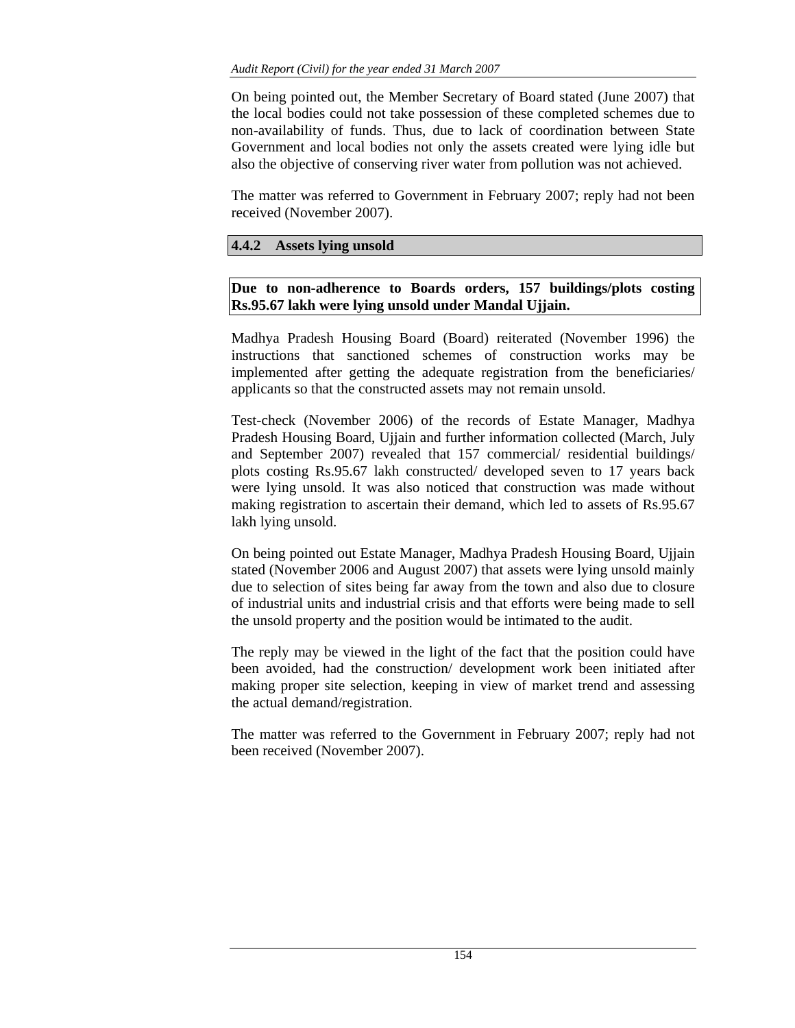On being pointed out, the Member Secretary of Board stated (June 2007) that the local bodies could not take possession of these completed schemes due to non-availability of funds. Thus, due to lack of coordination between State Government and local bodies not only the assets created were lying idle but also the objective of conserving river water from pollution was not achieved.

The matter was referred to Government in February 2007; reply had not been received (November 2007).

## **4.4.2 Assets lying unsold**

# **Due to non-adherence to Boards orders, 157 buildings/plots costing Rs.95.67 lakh were lying unsold under Mandal Ujjain.**

Madhya Pradesh Housing Board (Board) reiterated (November 1996) the instructions that sanctioned schemes of construction works may be implemented after getting the adequate registration from the beneficiaries/ applicants so that the constructed assets may not remain unsold.

Test-check (November 2006) of the records of Estate Manager, Madhya Pradesh Housing Board, Ujjain and further information collected (March, July and September 2007) revealed that 157 commercial/ residential buildings/ plots costing Rs.95.67 lakh constructed/ developed seven to 17 years back were lying unsold. It was also noticed that construction was made without making registration to ascertain their demand, which led to assets of Rs.95.67 lakh lying unsold.

On being pointed out Estate Manager, Madhya Pradesh Housing Board, Ujjain stated (November 2006 and August 2007) that assets were lying unsold mainly due to selection of sites being far away from the town and also due to closure of industrial units and industrial crisis and that efforts were being made to sell the unsold property and the position would be intimated to the audit.

The reply may be viewed in the light of the fact that the position could have been avoided, had the construction/ development work been initiated after making proper site selection, keeping in view of market trend and assessing the actual demand/registration.

The matter was referred to the Government in February 2007; reply had not been received (November 2007).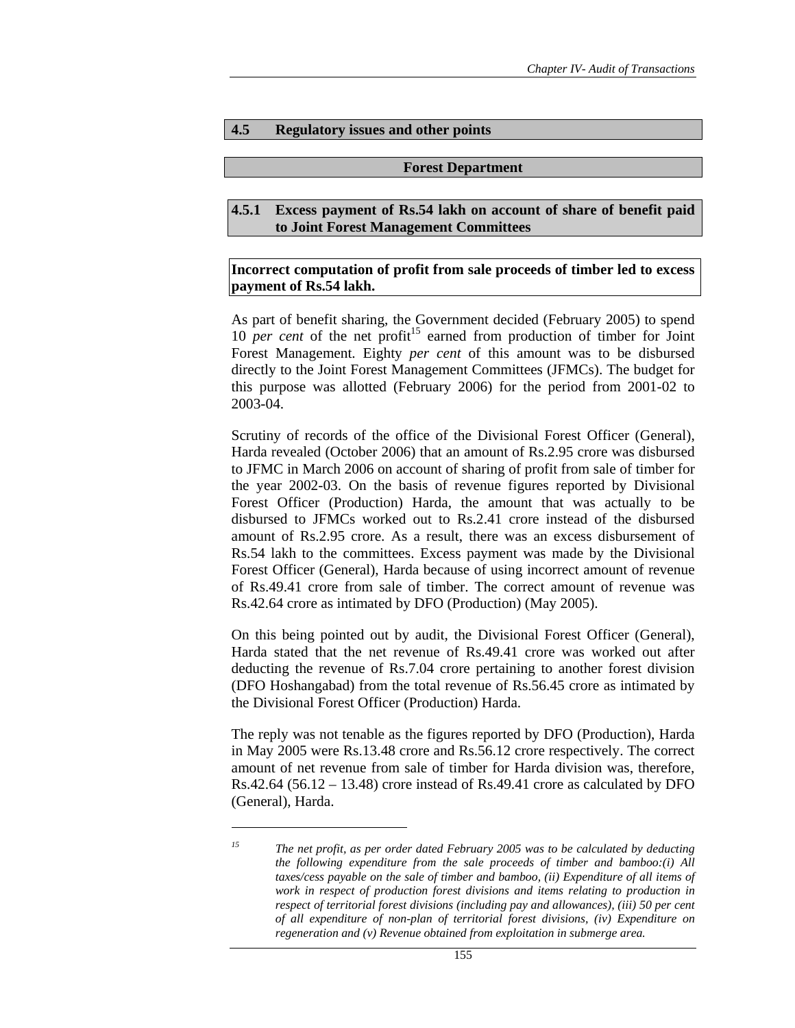#### **4.5 Regulatory issues and other points**

#### **Forest Department**

#### **4.5.1 Excess payment of Rs.54 lakh on account of share of benefit paid to Joint Forest Management Committees**

### **Incorrect computation of profit from sale proceeds of timber led to excess payment of Rs.54 lakh.**

As part of benefit sharing, the Government decided (February 2005) to spend 10 *per cent* of the net profit<sup>15</sup> earned from production of timber for Joint Forest Management. Eighty *per cent* of this amount was to be disbursed directly to the Joint Forest Management Committees (JFMCs). The budget for this purpose was allotted (February 2006) for the period from 2001-02 to 2003-04.

Scrutiny of records of the office of the Divisional Forest Officer (General), Harda revealed (October 2006) that an amount of Rs.2.95 crore was disbursed to JFMC in March 2006 on account of sharing of profit from sale of timber for the year 2002-03. On the basis of revenue figures reported by Divisional Forest Officer (Production) Harda, the amount that was actually to be disbursed to JFMCs worked out to Rs.2.41 crore instead of the disbursed amount of Rs.2.95 crore. As a result, there was an excess disbursement of Rs.54 lakh to the committees. Excess payment was made by the Divisional Forest Officer (General), Harda because of using incorrect amount of revenue of Rs.49.41 crore from sale of timber. The correct amount of revenue was Rs.42.64 crore as intimated by DFO (Production) (May 2005).

On this being pointed out by audit, the Divisional Forest Officer (General), Harda stated that the net revenue of Rs.49.41 crore was worked out after deducting the revenue of Rs.7.04 crore pertaining to another forest division (DFO Hoshangabad) from the total revenue of Rs.56.45 crore as intimated by the Divisional Forest Officer (Production) Harda.

The reply was not tenable as the figures reported by DFO (Production), Harda in May 2005 were Rs.13.48 crore and Rs.56.12 crore respectively. The correct amount of net revenue from sale of timber for Harda division was, therefore,  $Rs.42.64$  (56.12 – 13.48) crore instead of  $Rs.49.41$  crore as calculated by DFO (General), Harda.

*<sup>15</sup> The net profit, as per order dated February 2005 was to be calculated by deducting the following expenditure from the sale proceeds of timber and bamboo:(i) All taxes/cess payable on the sale of timber and bamboo, (ii) Expenditure of all items of work in respect of production forest divisions and items relating to production in respect of territorial forest divisions (including pay and allowances), (iii) 50 per cent of all expenditure of non-plan of territorial forest divisions, (iv) Expenditure on regeneration and (v) Revenue obtained from exploitation in submerge area.*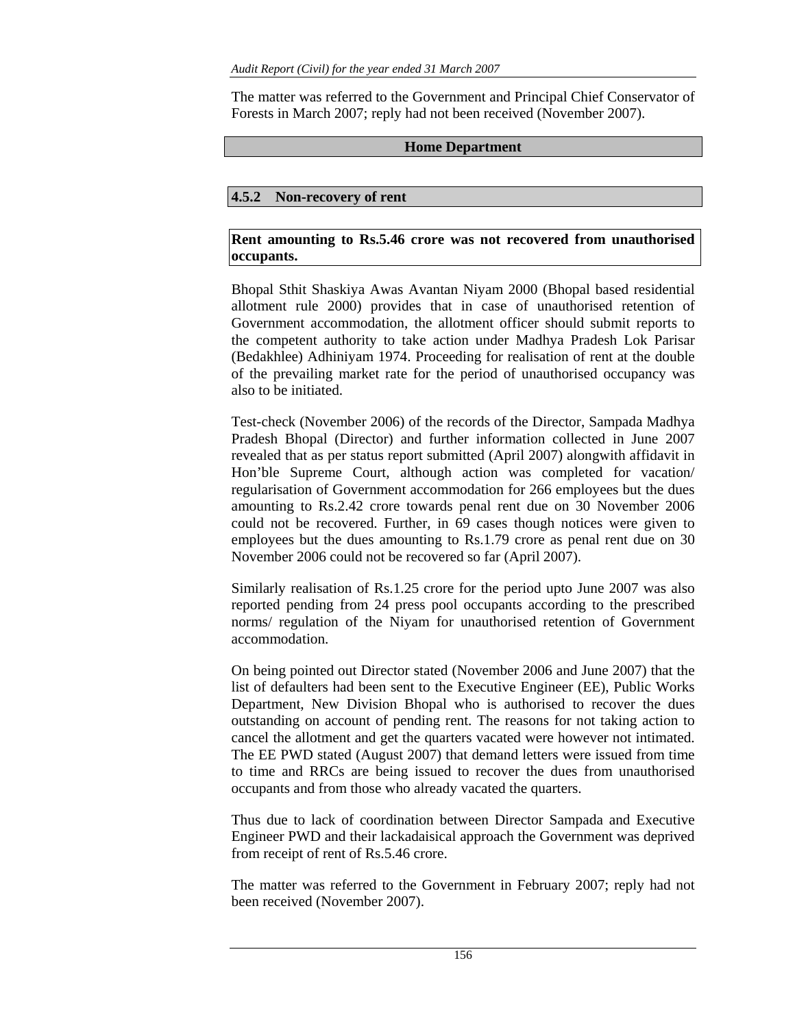The matter was referred to the Government and Principal Chief Conservator of Forests in March 2007; reply had not been received (November 2007).

## **Home Department**

# **4.5.2 Non-recovery of rent**

# **Rent amounting to Rs.5.46 crore was not recovered from unauthorised occupants.**

Bhopal Sthit Shaskiya Awas Avantan Niyam 2000 (Bhopal based residential allotment rule 2000) provides that in case of unauthorised retention of Government accommodation, the allotment officer should submit reports to the competent authority to take action under Madhya Pradesh Lok Parisar (Bedakhlee) Adhiniyam 1974. Proceeding for realisation of rent at the double of the prevailing market rate for the period of unauthorised occupancy was also to be initiated.

Test-check (November 2006) of the records of the Director, Sampada Madhya Pradesh Bhopal (Director) and further information collected in June 2007 revealed that as per status report submitted (April 2007) alongwith affidavit in Hon'ble Supreme Court, although action was completed for vacation/ regularisation of Government accommodation for 266 employees but the dues amounting to Rs.2.42 crore towards penal rent due on 30 November 2006 could not be recovered. Further, in 69 cases though notices were given to employees but the dues amounting to Rs.1.79 crore as penal rent due on 30 November 2006 could not be recovered so far (April 2007).

Similarly realisation of Rs.1.25 crore for the period upto June 2007 was also reported pending from 24 press pool occupants according to the prescribed norms/ regulation of the Niyam for unauthorised retention of Government accommodation.

On being pointed out Director stated (November 2006 and June 2007) that the list of defaulters had been sent to the Executive Engineer (EE), Public Works Department, New Division Bhopal who is authorised to recover the dues outstanding on account of pending rent. The reasons for not taking action to cancel the allotment and get the quarters vacated were however not intimated. The EE PWD stated (August 2007) that demand letters were issued from time to time and RRCs are being issued to recover the dues from unauthorised occupants and from those who already vacated the quarters.

Thus due to lack of coordination between Director Sampada and Executive Engineer PWD and their lackadaisical approach the Government was deprived from receipt of rent of Rs.5.46 crore.

The matter was referred to the Government in February 2007; reply had not been received (November 2007).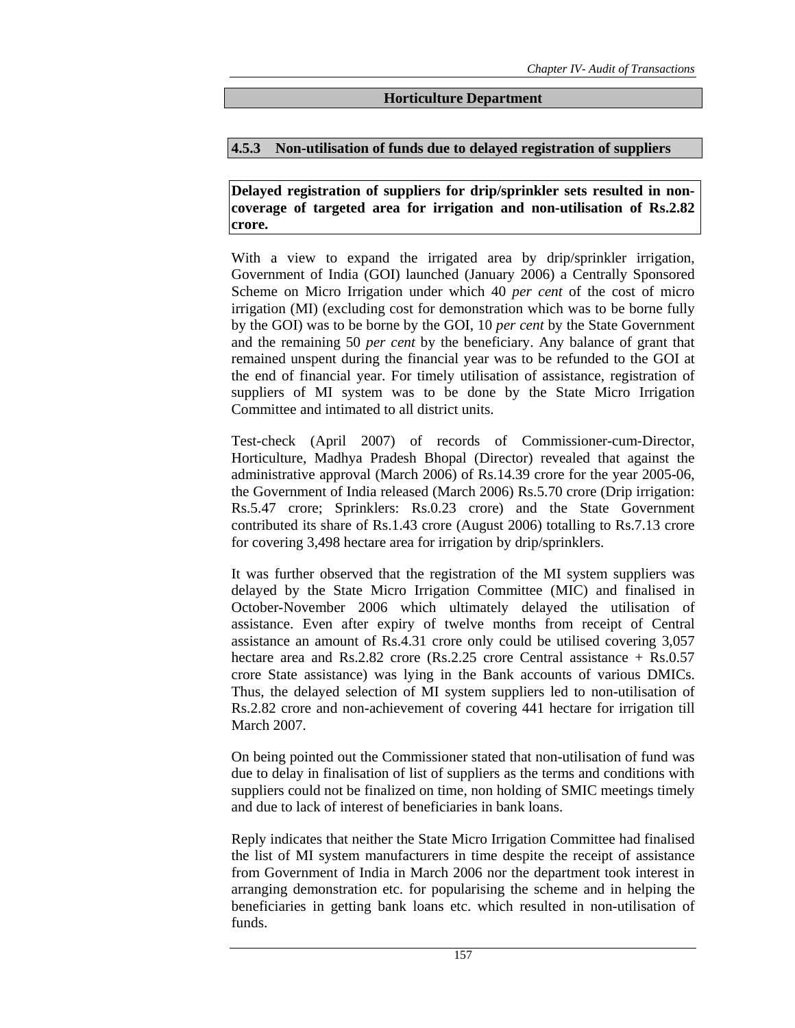#### **Horticulture Department**

#### **4.5.3 Non-utilisation of funds due to delayed registration of suppliers**

**Delayed registration of suppliers for drip/sprinkler sets resulted in noncoverage of targeted area for irrigation and non-utilisation of Rs.2.82 crore.** 

With a view to expand the irrigated area by drip/sprinkler irrigation, Government of India (GOI) launched (January 2006) a Centrally Sponsored Scheme on Micro Irrigation under which 40 *per cent* of the cost of micro irrigation (MI) (excluding cost for demonstration which was to be borne fully by the GOI) was to be borne by the GOI, 10 *per cent* by the State Government and the remaining 50 *per cent* by the beneficiary. Any balance of grant that remained unspent during the financial year was to be refunded to the GOI at the end of financial year. For timely utilisation of assistance, registration of suppliers of MI system was to be done by the State Micro Irrigation Committee and intimated to all district units.

Test-check (April 2007) of records of Commissioner-cum-Director, Horticulture, Madhya Pradesh Bhopal (Director) revealed that against the administrative approval (March 2006) of Rs.14.39 crore for the year 2005-06, the Government of India released (March 2006) Rs.5.70 crore (Drip irrigation: Rs.5.47 crore; Sprinklers: Rs.0.23 crore) and the State Government contributed its share of Rs.1.43 crore (August 2006) totalling to Rs.7.13 crore for covering 3,498 hectare area for irrigation by drip/sprinklers.

It was further observed that the registration of the MI system suppliers was delayed by the State Micro Irrigation Committee (MIC) and finalised in October-November 2006 which ultimately delayed the utilisation of assistance. Even after expiry of twelve months from receipt of Central assistance an amount of Rs.4.31 crore only could be utilised covering 3,057 hectare area and Rs.2.82 crore (Rs.2.25 crore Central assistance + Rs.0.57 crore State assistance) was lying in the Bank accounts of various DMICs. Thus, the delayed selection of MI system suppliers led to non-utilisation of Rs.2.82 crore and non-achievement of covering 441 hectare for irrigation till March 2007.

On being pointed out the Commissioner stated that non-utilisation of fund was due to delay in finalisation of list of suppliers as the terms and conditions with suppliers could not be finalized on time, non holding of SMIC meetings timely and due to lack of interest of beneficiaries in bank loans.

Reply indicates that neither the State Micro Irrigation Committee had finalised the list of MI system manufacturers in time despite the receipt of assistance from Government of India in March 2006 nor the department took interest in arranging demonstration etc. for popularising the scheme and in helping the beneficiaries in getting bank loans etc. which resulted in non-utilisation of funds.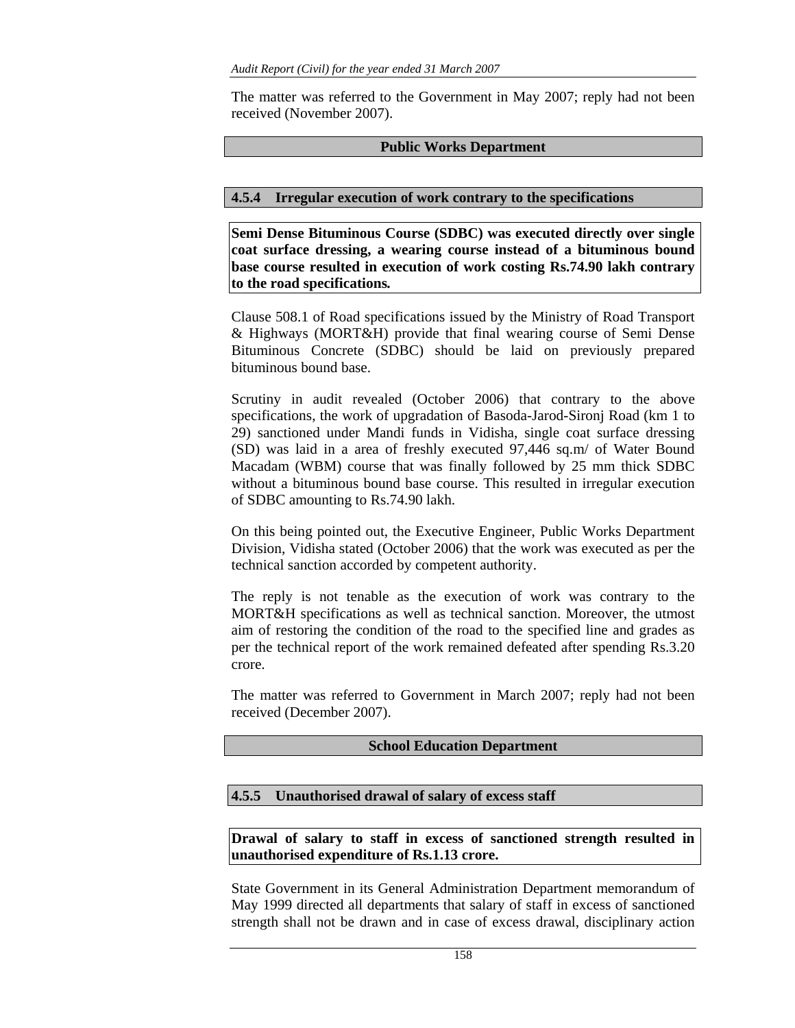The matter was referred to the Government in May 2007; reply had not been received (November 2007).

## **Public Works Department**

## **4.5.4 Irregular execution of work contrary to the specifications**

**Semi Dense Bituminous Course (SDBC) was executed directly over single coat surface dressing, a wearing course instead of a bituminous bound base course resulted in execution of work costing Rs.74.90 lakh contrary to the road specifications***.* 

Clause 508.1 of Road specifications issued by the Ministry of Road Transport & Highways (MORT&H) provide that final wearing course of Semi Dense Bituminous Concrete (SDBC) should be laid on previously prepared bituminous bound base.

Scrutiny in audit revealed (October 2006) that contrary to the above specifications, the work of upgradation of Basoda-Jarod-Sironj Road (km 1 to 29) sanctioned under Mandi funds in Vidisha, single coat surface dressing (SD) was laid in a area of freshly executed 97,446 sq.m/ of Water Bound Macadam (WBM) course that was finally followed by 25 mm thick SDBC without a bituminous bound base course. This resulted in irregular execution of SDBC amounting to Rs.74.90 lakh.

On this being pointed out, the Executive Engineer, Public Works Department Division, Vidisha stated (October 2006) that the work was executed as per the technical sanction accorded by competent authority.

The reply is not tenable as the execution of work was contrary to the MORT&H specifications as well as technical sanction. Moreover, the utmost aim of restoring the condition of the road to the specified line and grades as per the technical report of the work remained defeated after spending Rs.3.20 crore.

The matter was referred to Government in March 2007; reply had not been received (December 2007).

#### **School Education Department**

# **4.5.5 Unauthorised drawal of salary of excess staff**

**Drawal of salary to staff in excess of sanctioned strength resulted in unauthorised expenditure of Rs.1.13 crore.** 

State Government in its General Administration Department memorandum of May 1999 directed all departments that salary of staff in excess of sanctioned strength shall not be drawn and in case of excess drawal, disciplinary action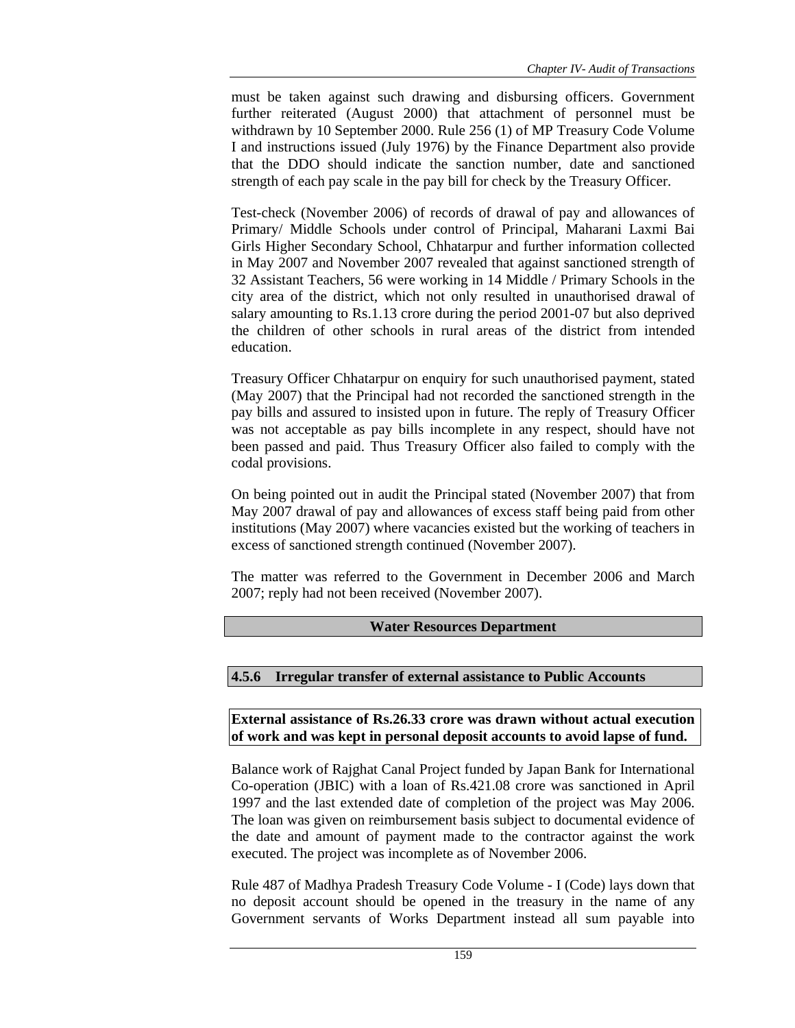must be taken against such drawing and disbursing officers. Government further reiterated (August 2000) that attachment of personnel must be withdrawn by 10 September 2000. Rule 256 (1) of MP Treasury Code Volume I and instructions issued (July 1976) by the Finance Department also provide that the DDO should indicate the sanction number, date and sanctioned strength of each pay scale in the pay bill for check by the Treasury Officer.

Test-check (November 2006) of records of drawal of pay and allowances of Primary/ Middle Schools under control of Principal, Maharani Laxmi Bai Girls Higher Secondary School, Chhatarpur and further information collected in May 2007 and November 2007 revealed that against sanctioned strength of 32 Assistant Teachers, 56 were working in 14 Middle / Primary Schools in the city area of the district, which not only resulted in unauthorised drawal of salary amounting to Rs.1.13 crore during the period 2001-07 but also deprived the children of other schools in rural areas of the district from intended education.

Treasury Officer Chhatarpur on enquiry for such unauthorised payment, stated (May 2007) that the Principal had not recorded the sanctioned strength in the pay bills and assured to insisted upon in future. The reply of Treasury Officer was not acceptable as pay bills incomplete in any respect, should have not been passed and paid. Thus Treasury Officer also failed to comply with the codal provisions.

On being pointed out in audit the Principal stated (November 2007) that from May 2007 drawal of pay and allowances of excess staff being paid from other institutions (May 2007) where vacancies existed but the working of teachers in excess of sanctioned strength continued (November 2007).

The matter was referred to the Government in December 2006 and March 2007; reply had not been received (November 2007).

# **Water Resources Department**

#### **4.5.6 Irregular transfer of external assistance to Public Accounts**

**External assistance of Rs.26.33 crore was drawn without actual execution of work and was kept in personal deposit accounts to avoid lapse of fund.** 

Balance work of Rajghat Canal Project funded by Japan Bank for International Co-operation (JBIC) with a loan of Rs.421.08 crore was sanctioned in April 1997 and the last extended date of completion of the project was May 2006. The loan was given on reimbursement basis subject to documental evidence of the date and amount of payment made to the contractor against the work executed. The project was incomplete as of November 2006.

Rule 487 of Madhya Pradesh Treasury Code Volume - I (Code) lays down that no deposit account should be opened in the treasury in the name of any Government servants of Works Department instead all sum payable into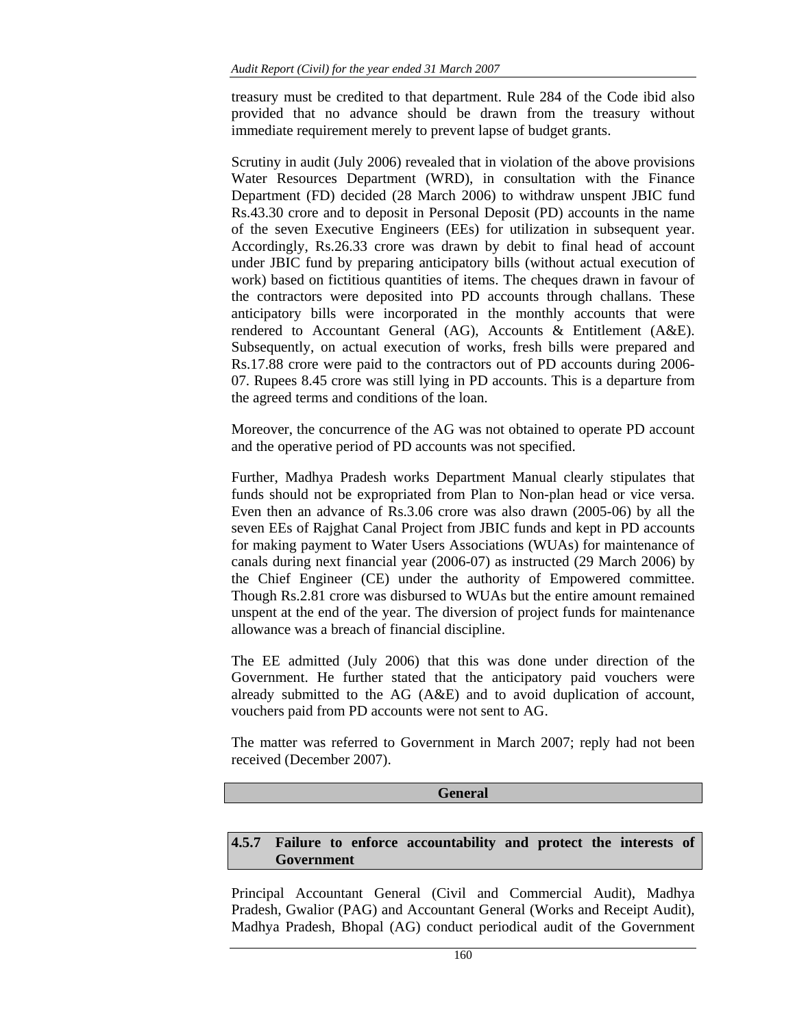treasury must be credited to that department. Rule 284 of the Code ibid also provided that no advance should be drawn from the treasury without immediate requirement merely to prevent lapse of budget grants.

Scrutiny in audit (July 2006) revealed that in violation of the above provisions Water Resources Department (WRD), in consultation with the Finance Department (FD) decided (28 March 2006) to withdraw unspent JBIC fund Rs.43.30 crore and to deposit in Personal Deposit (PD) accounts in the name of the seven Executive Engineers (EEs) for utilization in subsequent year. Accordingly, Rs.26.33 crore was drawn by debit to final head of account under JBIC fund by preparing anticipatory bills (without actual execution of work) based on fictitious quantities of items. The cheques drawn in favour of the contractors were deposited into PD accounts through challans. These anticipatory bills were incorporated in the monthly accounts that were rendered to Accountant General (AG), Accounts & Entitlement (A&E). Subsequently, on actual execution of works, fresh bills were prepared and Rs.17.88 crore were paid to the contractors out of PD accounts during 2006- 07. Rupees 8.45 crore was still lying in PD accounts. This is a departure from the agreed terms and conditions of the loan.

Moreover, the concurrence of the AG was not obtained to operate PD account and the operative period of PD accounts was not specified.

Further, Madhya Pradesh works Department Manual clearly stipulates that funds should not be expropriated from Plan to Non-plan head or vice versa. Even then an advance of Rs.3.06 crore was also drawn (2005-06) by all the seven EEs of Rajghat Canal Project from JBIC funds and kept in PD accounts for making payment to Water Users Associations (WUAs) for maintenance of canals during next financial year (2006-07) as instructed (29 March 2006) by the Chief Engineer (CE) under the authority of Empowered committee. Though Rs.2.81 crore was disbursed to WUAs but the entire amount remained unspent at the end of the year. The diversion of project funds for maintenance allowance was a breach of financial discipline.

The EE admitted (July 2006) that this was done under direction of the Government. He further stated that the anticipatory paid vouchers were already submitted to the AG (A&E) and to avoid duplication of account, vouchers paid from PD accounts were not sent to AG.

The matter was referred to Government in March 2007; reply had not been received (December 2007).

#### **General**

# **4.5.7 Failure to enforce accountability and protect the interests of Government**

Principal Accountant General (Civil and Commercial Audit), Madhya Pradesh, Gwalior (PAG) and Accountant General (Works and Receipt Audit), Madhya Pradesh, Bhopal (AG) conduct periodical audit of the Government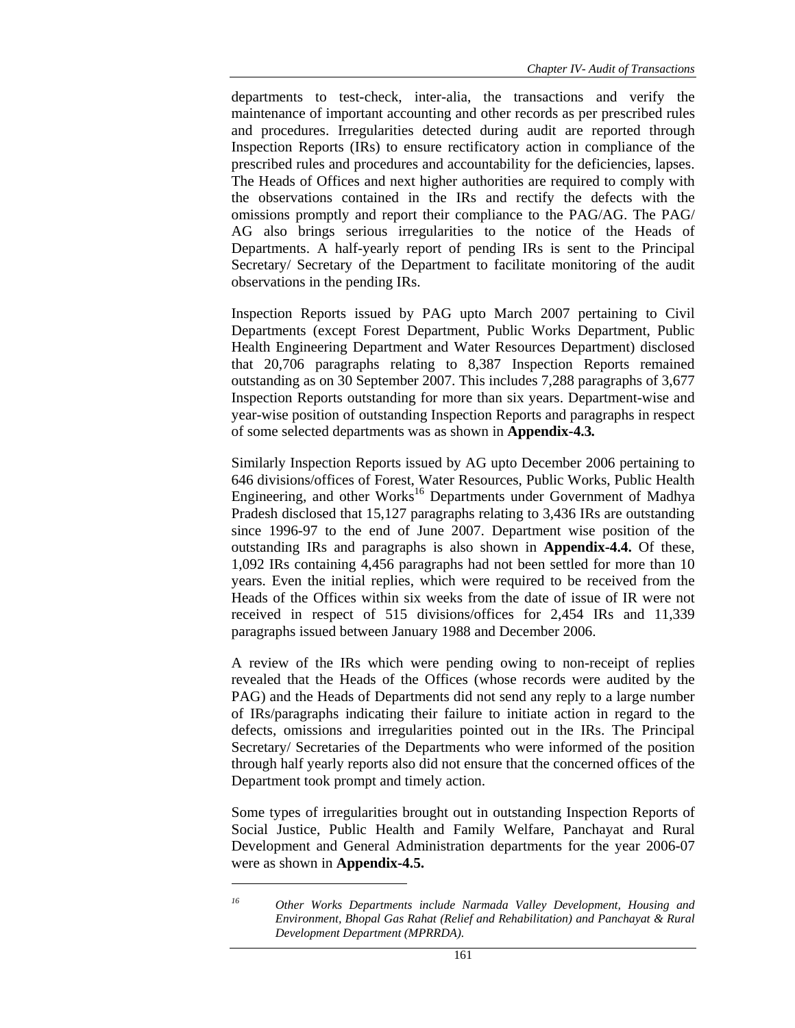departments to test-check, inter-alia, the transactions and verify the maintenance of important accounting and other records as per prescribed rules and procedures. Irregularities detected during audit are reported through Inspection Reports (IRs) to ensure rectificatory action in compliance of the prescribed rules and procedures and accountability for the deficiencies, lapses. The Heads of Offices and next higher authorities are required to comply with the observations contained in the IRs and rectify the defects with the omissions promptly and report their compliance to the PAG/AG. The PAG/ AG also brings serious irregularities to the notice of the Heads of Departments. A half-yearly report of pending IRs is sent to the Principal Secretary/ Secretary of the Department to facilitate monitoring of the audit observations in the pending IRs.

Inspection Reports issued by PAG upto March 2007 pertaining to Civil Departments (except Forest Department, Public Works Department, Public Health Engineering Department and Water Resources Department) disclosed that 20,706 paragraphs relating to 8,387 Inspection Reports remained outstanding as on 30 September 2007. This includes 7,288 paragraphs of 3,677 Inspection Reports outstanding for more than six years. Department-wise and year-wise position of outstanding Inspection Reports and paragraphs in respect of some selected departments was as shown in **Appendix-4.3***.*

Similarly Inspection Reports issued by AG upto December 2006 pertaining to 646 divisions/offices of Forest, Water Resources, Public Works, Public Health Engineering, and other Works<sup>16</sup> Departments under Government of Madhya Pradesh disclosed that 15,127 paragraphs relating to 3,436 IRs are outstanding since 1996-97 to the end of June 2007. Department wise position of the outstanding IRs and paragraphs is also shown in **Appendix-4.4.** Of these, 1,092 IRs containing 4,456 paragraphs had not been settled for more than 10 years. Even the initial replies, which were required to be received from the Heads of the Offices within six weeks from the date of issue of IR were not received in respect of 515 divisions/offices for 2,454 IRs and 11,339 paragraphs issued between January 1988 and December 2006.

A review of the IRs which were pending owing to non-receipt of replies revealed that the Heads of the Offices (whose records were audited by the PAG) and the Heads of Departments did not send any reply to a large number of IRs/paragraphs indicating their failure to initiate action in regard to the defects, omissions and irregularities pointed out in the IRs. The Principal Secretary/ Secretaries of the Departments who were informed of the position through half yearly reports also did not ensure that the concerned offices of the Department took prompt and timely action.

Some types of irregularities brought out in outstanding Inspection Reports of Social Justice, Public Health and Family Welfare, Panchayat and Rural Development and General Administration departments for the year 2006-07 were as shown in **Appendix-4.5.**

*<sup>16</sup> Other Works Departments include Narmada Valley Development, Housing and Environment, Bhopal Gas Rahat (Relief and Rehabilitation) and Panchayat & Rural Development Department (MPRRDA).*